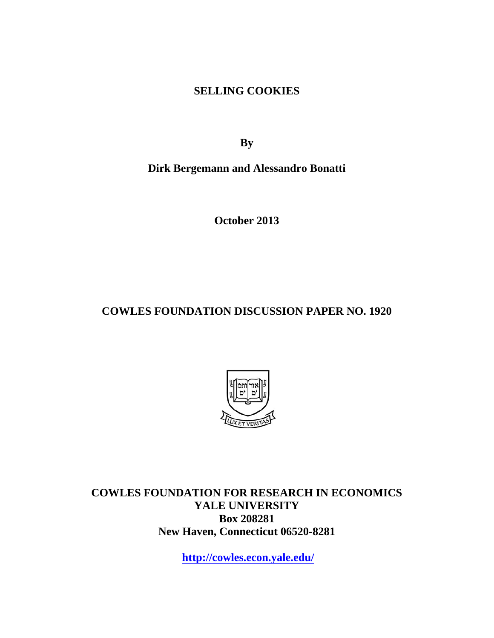**SELLING COOKIES** 

**By** 

**Dirk Bergemann and Alessandro Bonatti** 

**October 2013** 

**COWLES FOUNDATION DISCUSSION PAPER NO. 1920** 



**COWLES FOUNDATION FOR RESEARCH IN ECONOMICS YALE UNIVERSITY Box 208281 New Haven, Connecticut 06520-8281** 

**http://cowles.econ.yale.edu/**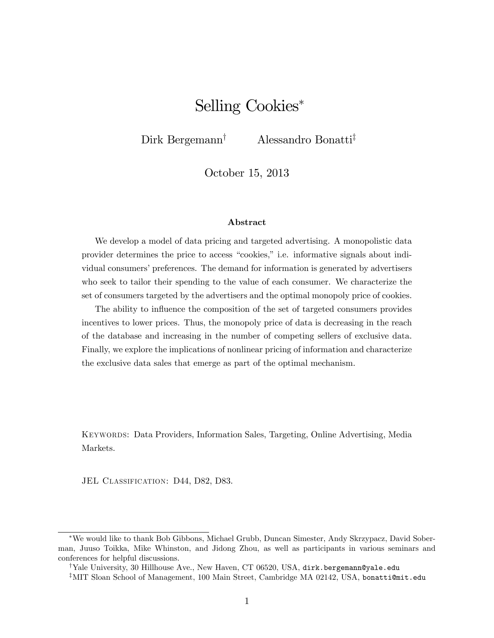# Selling Cookies

Dirk Bergemann<sup>†</sup> Alessandro Bonatti<sup>‡</sup>

October 15, 2013

#### Abstract

We develop a model of data pricing and targeted advertising. A monopolistic data provider determines the price to access "cookies," i.e. informative signals about individual consumers' preferences. The demand for information is generated by advertisers who seek to tailor their spending to the value of each consumer. We characterize the set of consumers targeted by the advertisers and the optimal monopoly price of cookies.

The ability to influence the composition of the set of targeted consumers provides incentives to lower prices. Thus, the monopoly price of data is decreasing in the reach of the database and increasing in the number of competing sellers of exclusive data. Finally, we explore the implications of nonlinear pricing of information and characterize the exclusive data sales that emerge as part of the optimal mechanism.

Keywords: Data Providers, Information Sales, Targeting, Online Advertising, Media Markets.

JEL CLASSIFICATION: D44, D82, D83.

We would like to thank Bob Gibbons, Michael Grubb, Duncan Simester, Andy Skrzypacz, David Soberman, Juuso Toikka, Mike Whinston, and Jidong Zhou, as well as participants in various seminars and conferences for helpful discussions.

<sup>&</sup>lt;sup>†</sup>Yale University, 30 Hillhouse Ave., New Haven, CT 06520, USA, dirk.bergemann@yale.edu

 $*$ MIT Sloan School of Management, 100 Main Street, Cambridge MA 02142, USA, bonatti@mit.edu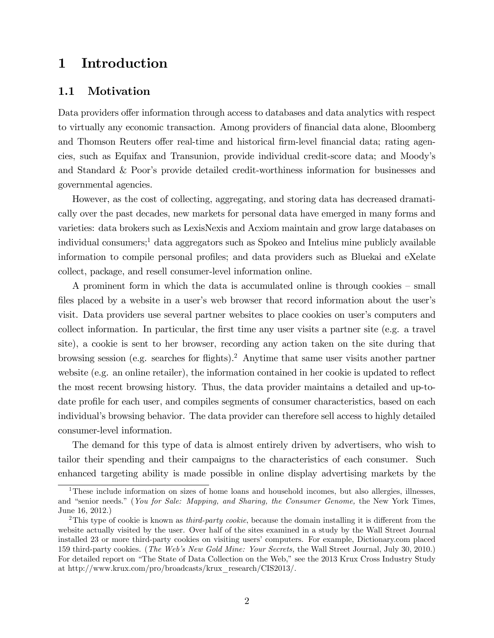## 1 Introduction

### 1.1 Motivation

Data providers offer information through access to databases and data analytics with respect to virtually any economic transaction. Among providers of financial data alone, Bloomberg and Thomson Reuters offer real-time and historical firm-level financial data; rating agencies, such as Equifax and Transunion, provide individual credit-score data; and Moodyís and Standard & Poor's provide detailed credit-worthiness information for businesses and governmental agencies.

However, as the cost of collecting, aggregating, and storing data has decreased dramatically over the past decades, new markets for personal data have emerged in many forms and varieties: data brokers such as LexisNexis and Acxiom maintain and grow large databases on individual consumers;<sup>1</sup> data aggregators such as Spokeo and Intelius mine publicly available information to compile personal profiles; and data providers such as Bluekai and eXelate collect, package, and resell consumer-level information online.

A prominent form in which the data is accumulated online is through cookies  $-$  small files placed by a website in a user's web browser that record information about the user's visit. Data providers use several partner websites to place cookies on user's computers and collect information. In particular, the first time any user visits a partner site (e.g. a travel site), a cookie is sent to her browser, recording any action taken on the site during that browsing session (e.g. searches for flights).<sup>2</sup> Anytime that same user visits another partner website (e.g. an online retailer), the information contained in her cookie is updated to reflect the most recent browsing history. Thus, the data provider maintains a detailed and up-todate profile for each user, and compiles segments of consumer characteristics, based on each individual's browsing behavior. The data provider can therefore sell access to highly detailed consumer-level information.

The demand for this type of data is almost entirely driven by advertisers, who wish to tailor their spending and their campaigns to the characteristics of each consumer. Such enhanced targeting ability is made possible in online display advertising markets by the

<sup>&</sup>lt;sup>1</sup>These include information on sizes of home loans and household incomes, but also allergies, illnesses, and "senior needs." (You for Sale: Mapping, and Sharing, the Consumer Genome, the New York Times, June 16, 2012.)

<sup>&</sup>lt;sup>2</sup>This type of cookie is known as *third-party cookie*, because the domain installing it is different from the website actually visited by the user. Over half of the sites examined in a study by the Wall Street Journal installed 23 or more third-party cookies on visiting users' computers. For example, Dictionary.com placed 159 third-party cookies. (The Webís New Gold Mine: Your Secrets, the Wall Street Journal, July 30, 2010.) For detailed report on "The State of Data Collection on the Web," see the 2013 Krux Cross Industry Study at http://www.krux.com/pro/broadcasts/krux\_research/CIS2013/.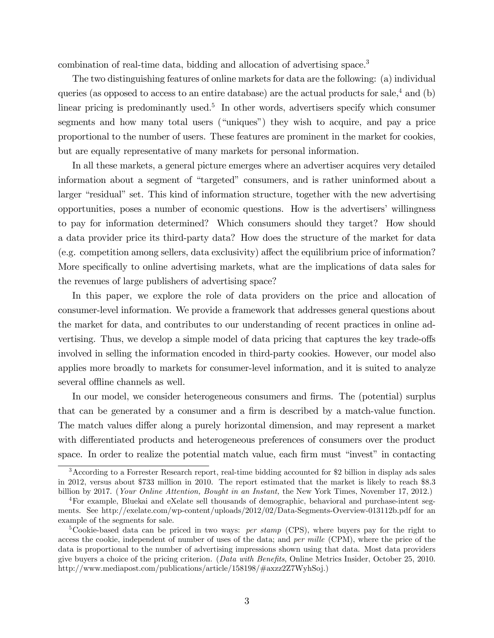combination of real-time data, bidding and allocation of advertising space.<sup>3</sup>

The two distinguishing features of online markets for data are the following: (a) individual queries (as opposed to access to an entire database) are the actual products for sale,  $4$  and (b) linear pricing is predominantly used.<sup>5</sup> In other words, advertisers specify which consumer segments and how many total users ("uniques") they wish to acquire, and pay a price proportional to the number of users. These features are prominent in the market for cookies, but are equally representative of many markets for personal information.

In all these markets, a general picture emerges where an advertiser acquires very detailed information about a segment of "targeted" consumers, and is rather uninformed about a larger "residual" set. This kind of information structure, together with the new advertising opportunities, poses a number of economic questions. How is the advertisersí willingness to pay for information determined? Which consumers should they target? How should a data provider price its third-party data? How does the structure of the market for data  $(e.g.$  competition among sellers, data exclusivity) affect the equilibrium price of information? More specifically to online advertising markets, what are the implications of data sales for the revenues of large publishers of advertising space?

In this paper, we explore the role of data providers on the price and allocation of consumer-level information. We provide a framework that addresses general questions about the market for data, and contributes to our understanding of recent practices in online advertising. Thus, we develop a simple model of data pricing that captures the key trade-offs involved in selling the information encoded in third-party cookies. However, our model also applies more broadly to markets for consumer-level information, and it is suited to analyze several offline channels as well.

In our model, we consider heterogeneous consumers and firms. The (potential) surplus that can be generated by a consumer and a firm is described by a match-value function. The match values differ along a purely horizontal dimension, and may represent a market with differentiated products and heterogeneous preferences of consumers over the product space. In order to realize the potential match value, each firm must "invest" in contacting

<sup>&</sup>lt;sup>3</sup>According to a Forrester Research report, real-time bidding accounted for \$2 billion in display ads sales in 2012, versus about \$733 million in 2010. The report estimated that the market is likely to reach \$8.3 billion by 2017. (Your Online Attention, Bought in an Instant, the New York Times, November 17, 2012.)

<sup>4</sup>For example, Bluekai and eXelate sell thousands of demographic, behavioral and purchase-intent segments. See http://exelate.com/wp-content/uploads/2012/02/Data-Segments-Overview-013112b.pdf for an example of the segments for sale.

<sup>&</sup>lt;sup>5</sup>Cookie-based data can be priced in two ways: *per stamp* (CPS), where buyers pay for the right to access the cookie, independent of number of uses of the data; and *per mille* (CPM), where the price of the data is proportional to the number of advertising impressions shown using that data. Most data providers give buyers a choice of the pricing criterion. (Data with Benefits, Online Metrics Insider, October 25, 2010. http://www.mediapost.com/publications/article/158198/#axzz2Z7WyhSoj.)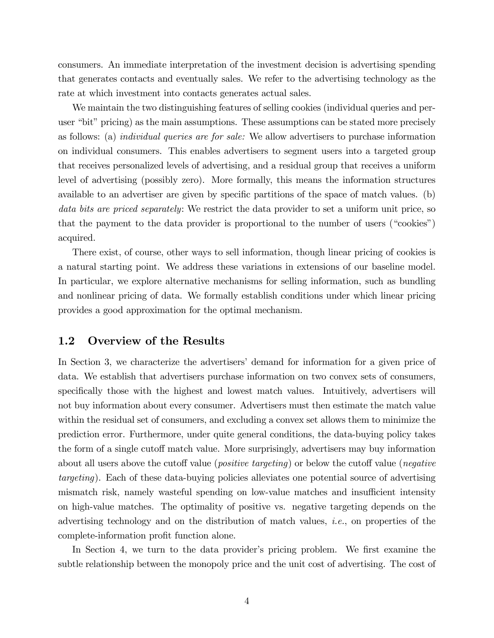consumers. An immediate interpretation of the investment decision is advertising spending that generates contacts and eventually sales. We refer to the advertising technology as the rate at which investment into contacts generates actual sales.

We maintain the two distinguishing features of selling cookies (individual queries and peruser "bit" pricing) as the main assumptions. These assumptions can be stated more precisely as follows: (a) individual queries are for sale: We allow advertisers to purchase information on individual consumers. This enables advertisers to segment users into a targeted group that receives personalized levels of advertising, and a residual group that receives a uniform level of advertising (possibly zero). More formally, this means the information structures available to an advertiser are given by specific partitions of the space of match values. (b) data bits are priced separately: We restrict the data provider to set a uniform unit price, so that the payment to the data provider is proportional to the number of users ( $\degree$ cookies $\degree$ ) acquired.

There exist, of course, other ways to sell information, though linear pricing of cookies is a natural starting point. We address these variations in extensions of our baseline model. In particular, we explore alternative mechanisms for selling information, such as bundling and nonlinear pricing of data. We formally establish conditions under which linear pricing provides a good approximation for the optimal mechanism.

### 1.2 Overview of the Results

In Section 3, we characterize the advertisers' demand for information for a given price of data. We establish that advertisers purchase information on two convex sets of consumers, specifically those with the highest and lowest match values. Intuitively, advertisers will not buy information about every consumer. Advertisers must then estimate the match value within the residual set of consumers, and excluding a convex set allows them to minimize the prediction error. Furthermore, under quite general conditions, the data-buying policy takes the form of a single cutoff match value. More surprisingly, advertisers may buy information about all users above the cutoff value (*positive targeting*) or below the cutoff value (*negative* targeting). Each of these data-buying policies alleviates one potential source of advertising mismatch risk, namely wasteful spending on low-value matches and insufficient intensity on high-value matches. The optimality of positive vs. negative targeting depends on the advertising technology and on the distribution of match values, i.e., on properties of the complete-information profit function alone.

In Section 4, we turn to the data provider's pricing problem. We first examine the subtle relationship between the monopoly price and the unit cost of advertising. The cost of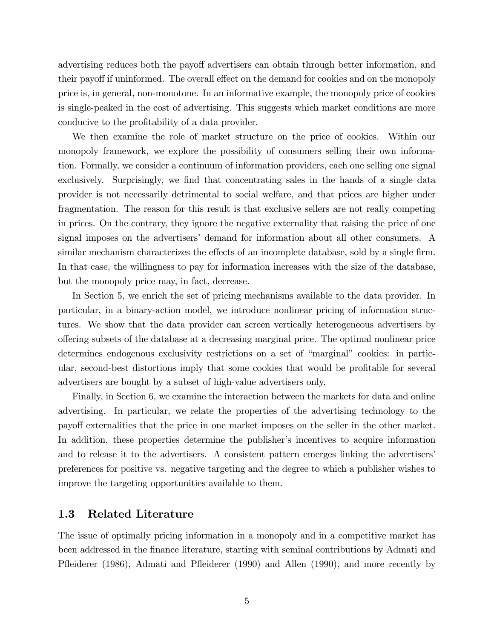advertising reduces both the payoff advertisers can obtain through better information, and their payoff if uninformed. The overall effect on the demand for cookies and on the monopoly price is, in general, non-monotone. In an informative example, the monopoly price of cookies is single-peaked in the cost of advertising. This suggests which market conditions are more conducive to the profitability of a data provider.

We then examine the role of market structure on the price of cookies. Within our monopoly framework, we explore the possibility of consumers selling their own information. Formally, we consider a continuum of information providers, each one selling one signal exclusively. Surprisingly, we find that concentrating sales in the hands of a single data provider is not necessarily detrimental to social welfare, and that prices are higher under fragmentation. The reason for this result is that exclusive sellers are not really competing in prices. On the contrary, they ignore the negative externality that raising the price of one signal imposes on the advertisers' demand for information about all other consumers. A similar mechanism characterizes the effects of an incomplete database, sold by a single firm. In that case, the willingness to pay for information increases with the size of the database, but the monopoly price may, in fact, decrease.

In Section 5, we enrich the set of pricing mechanisms available to the data provider. In particular, in a binary-action model, we introduce nonlinear pricing of information structures. We show that the data provider can screen vertically heterogeneous advertisers by o§ering subsets of the database at a decreasing marginal price. The optimal nonlinear price determines endogenous exclusivity restrictions on a set of "marginal" cookies: in particular, second-best distortions imply that some cookies that would be profitable for several advertisers are bought by a subset of high-value advertisers only.

Finally, in Section 6, we examine the interaction between the markets for data and online advertising. In particular, we relate the properties of the advertising technology to the payo§ externalities that the price in one market imposes on the seller in the other market. In addition, these properties determine the publisher's incentives to acquire information and to release it to the advertisers. A consistent pattern emerges linking the advertisers' preferences for positive vs. negative targeting and the degree to which a publisher wishes to improve the targeting opportunities available to them.

## 1.3 Related Literature

The issue of optimally pricing information in a monopoly and in a competitive market has been addressed in the Önance literature, starting with seminal contributions by Admati and Pfleiderer (1986), Admati and Pfleiderer (1990) and Allen (1990), and more recently by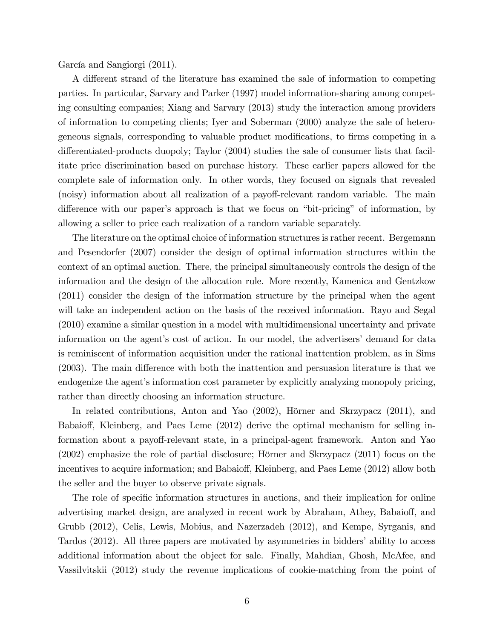García and Sangiorgi (2011).

A different strand of the literature has examined the sale of information to competing parties. In particular, Sarvary and Parker (1997) model information-sharing among competing consulting companies; Xiang and Sarvary (2013) study the interaction among providers of information to competing clients; Iyer and Soberman (2000) analyze the sale of heterogeneous signals, corresponding to valuable product modifications, to firms competing in a differentiated-products duopoly; Taylor (2004) studies the sale of consumer lists that facilitate price discrimination based on purchase history. These earlier papers allowed for the complete sale of information only. In other words, they focused on signals that revealed (noisy) information about all realization of a payoff-relevant random variable. The main difference with our paper's approach is that we focus on "bit-pricing" of information, by allowing a seller to price each realization of a random variable separately.

The literature on the optimal choice of information structures is rather recent. Bergemann and Pesendorfer (2007) consider the design of optimal information structures within the context of an optimal auction. There, the principal simultaneously controls the design of the information and the design of the allocation rule. More recently, Kamenica and Gentzkow (2011) consider the design of the information structure by the principal when the agent will take an independent action on the basis of the received information. Rayo and Segal (2010) examine a similar question in a model with multidimensional uncertainty and private information on the agent's cost of action. In our model, the advertisers' demand for data is reminiscent of information acquisition under the rational inattention problem, as in Sims  $(2003)$ . The main difference with both the inattention and persuasion literature is that we endogenize the agent's information cost parameter by explicitly analyzing monopoly pricing, rather than directly choosing an information structure.

In related contributions, Anton and Yao (2002), Hörner and Skrzypacz (2011), and Babaioff, Kleinberg, and Paes Leme (2012) derive the optimal mechanism for selling information about a payoff-relevant state, in a principal-agent framework. Anton and Yao  $(2002)$  emphasize the role of partial disclosure; Hörner and Skrzypacz  $(2011)$  focus on the incentives to acquire information; and Babaioff, Kleinberg, and Paes Leme (2012) allow both the seller and the buyer to observe private signals.

The role of specific information structures in auctions, and their implication for online advertising market design, are analyzed in recent work by Abraham, Athey, Babaioff, and Grubb (2012), Celis, Lewis, Mobius, and Nazerzadeh (2012), and Kempe, Syrganis, and Tardos (2012). All three papers are motivated by asymmetries in bidders' ability to access additional information about the object for sale. Finally, Mahdian, Ghosh, McAfee, and Vassilvitskii (2012) study the revenue implications of cookie-matching from the point of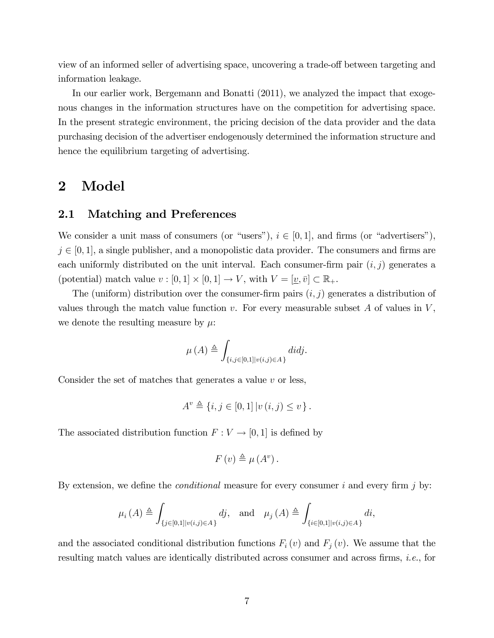view of an informed seller of advertising space, uncovering a trade-off between targeting and information leakage.

In our earlier work, Bergemann and Bonatti (2011), we analyzed the impact that exogenous changes in the information structures have on the competition for advertising space. In the present strategic environment, the pricing decision of the data provider and the data purchasing decision of the advertiser endogenously determined the information structure and hence the equilibrium targeting of advertising.

## 2 Model

## 2.1 Matching and Preferences

We consider a unit mass of consumers (or "users"),  $i \in [0, 1]$ , and firms (or "advertisers"),  $j \in [0, 1]$ , a single publisher, and a monopolistic data provider. The consumers and firms are each uniformly distributed on the unit interval. Each consumer-firm pair  $(i, j)$  generates a (potential) match value  $v : [0,1] \times [0,1] \to V$ , with  $V = [\underline{v}, \overline{v}] \subset \mathbb{R}_+$ .

The (uniform) distribution over the consumer-firm pairs  $(i, j)$  generates a distribution of values through the match value function  $v$ . For every measurable subset A of values in  $V$ , we denote the resulting measure by  $\mu$ .

$$
\mu(A) \triangleq \int_{\{i,j \in [0,1] | v(i,j) \in A\}} didj.
$$

Consider the set of matches that generates a value  $v$  or less,

$$
A^{v} \triangleq \{i, j \in [0, 1] | v(i, j) \le v\}.
$$

The associated distribution function  $F : V \to [0, 1]$  is defined by

$$
F(v) \triangleq \mu(A^v).
$$

By extension, we define the *conditional* measure for every consumer i and every firm j by:

$$
\mu_{i}\left(A\right)\triangleq\int_{\{j\in[0,1]|v(i,j)\in A\}}dj,\quad\text{and}\quad\mu_{j}\left(A\right)\triangleq\int_{\{i\in[0,1]|v(i,j)\in A\}}di,
$$

and the associated conditional distribution functions  $F_i(v)$  and  $F_j(v)$ . We assume that the resulting match values are identically distributed across consumer and across firms, *i.e.*, for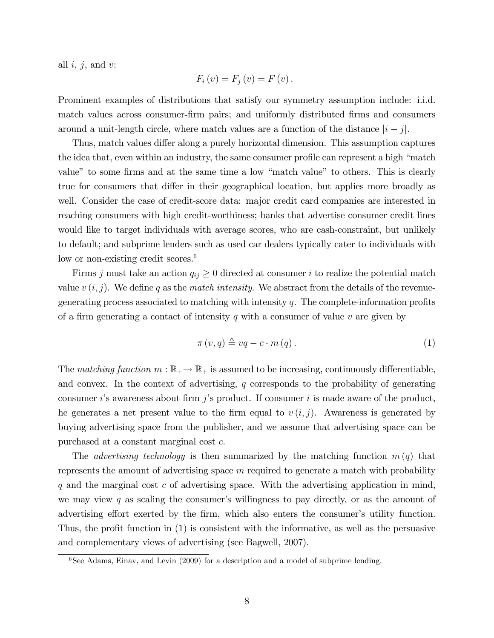all  $i, j$ , and  $v$ :

$$
F_i(v) = F_j(v) = F(v).
$$

Prominent examples of distributions that satisfy our symmetry assumption include: i.i.d. match values across consumer-firm pairs; and uniformly distributed firms and consumers around a unit-length circle, where match values are a function of the distance  $|i - j|$ .

Thus, match values differ along a purely horizontal dimension. This assumption captures the idea that, even within an industry, the same consumer profile can represent a high "match" value" to some firms and at the same time a low "match value" to others. This is clearly true for consumers that differ in their geographical location, but applies more broadly as well. Consider the case of credit-score data: major credit card companies are interested in reaching consumers with high credit-worthiness; banks that advertise consumer credit lines would like to target individuals with average scores, who are cash-constraint, but unlikely to default; and subprime lenders such as used car dealers typically cater to individuals with low or non-existing credit scores.<sup>6</sup>

Firms j must take an action  $q_{ij} \geq 0$  directed at consumer i to realize the potential match value  $v(i, j)$ . We define q as the match intensity. We abstract from the details of the revenuegenerating process associated to matching with intensity  $q$ . The complete-information profits of a firm generating a contact of intensity q with a consumer of value v are given by

$$
\pi(v,q) \triangleq vq - c \cdot m(q). \tag{1}
$$

The matching function  $m : \mathbb{R}_+ \to \mathbb{R}_+$  is assumed to be increasing, continuously differentiable, and convex. In the context of advertising,  $q$  corresponds to the probability of generating consumer i's awareness about firm j's product. If consumer i is made aware of the product, he generates a net present value to the firm equal to  $v (i, j)$ . Awareness is generated by buying advertising space from the publisher, and we assume that advertising space can be purchased at a constant marginal cost c.

The *advertising technology* is then summarized by the matching function  $m(q)$  that represents the amount of advertising space m required to generate a match with probability  $q$  and the marginal cost  $c$  of advertising space. With the advertising application in mind, we may view q as scaling the consumer's willingness to pay directly, or as the amount of advertising effort exerted by the firm, which also enters the consumer's utility function. Thus, the profit function in  $(1)$  is consistent with the informative, as well as the persuasive and complementary views of advertising (see Bagwell, 2007).

 $6$ See Adams, Einav, and Levin (2009) for a description and a model of subprime lending.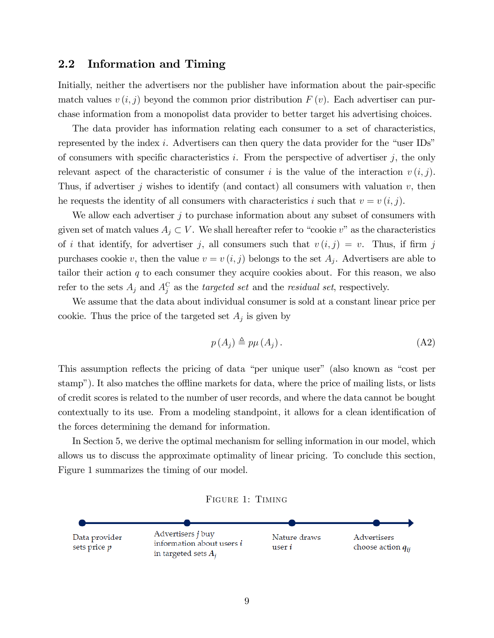### 2.2 Information and Timing

Initially, neither the advertisers nor the publisher have information about the pair-specific match values  $v(i, j)$  beyond the common prior distribution  $F(v)$ . Each advertiser can purchase information from a monopolist data provider to better target his advertising choices.

The data provider has information relating each consumer to a set of characteristics, represented by the index i. Advertisers can then query the data provider for the "user IDs" of consumers with specific characteristics i. From the perspective of advertiser  $j$ , the only relevant aspect of the characteristic of consumer i is the value of the interaction  $v(i, j)$ . Thus, if advertiser j wishes to identify (and contact) all consumers with valuation  $v$ , then he requests the identity of all consumers with characteristics i such that  $v = v(i, j)$ .

We allow each advertiser j to purchase information about any subset of consumers with given set of match values  $A_j \subset V$ . We shall hereafter refer to "cookie v" as the characteristics of i that identify, for advertiser j, all consumers such that  $v(i, j) = v$ . Thus, if firm j purchases cookie v, then the value  $v = v(i, j)$  belongs to the set  $A_j$ . Advertisers are able to tailor their action  $q$  to each consumer they acquire cookies about. For this reason, we also refer to the sets  $A_j$  and  $A_j^C$  as the *targeted set* and the *residual set*, respectively.

We assume that the data about individual consumer is sold at a constant linear price per cookie. Thus the price of the targeted set  $A_j$  is given by

$$
p(A_j) \triangleq p\mu(A_j). \tag{A2}
$$

This assumption reflects the pricing of data "per unique user" (also known as "cost per stamp"). It also matches the offline markets for data, where the price of mailing lists, or lists of credit scores is related to the number of user records, and where the data cannot be bought contextually to its use. From a modeling standpoint, it allows for a clean identification of the forces determining the demand for information.

In Section 5, we derive the optimal mechanism for selling information in our model, which allows us to discuss the approximate optimality of linear pricing. To conclude this section, Figure 1 summarizes the timing of our model.

Figure 1: Timing

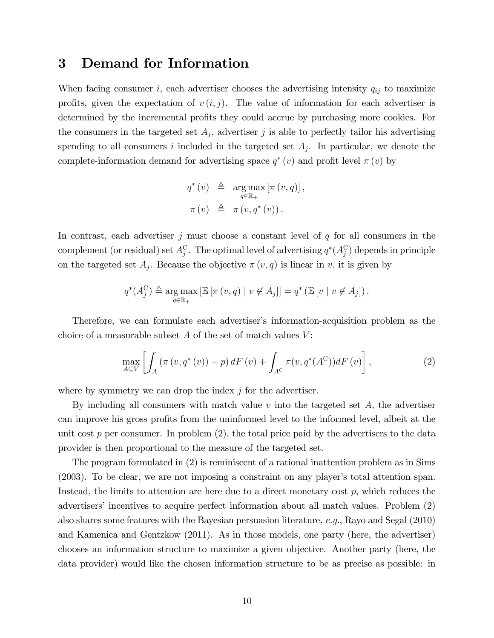## 3 Demand for Information

When facing consumer i, each advertiser chooses the advertising intensity  $q_{ij}$  to maximize profits, given the expectation of  $v(i, j)$ . The value of information for each advertiser is determined by the incremental profits they could accrue by purchasing more cookies. For the consumers in the targeted set  $A_j$ , advertiser j is able to perfectly tailor his advertising spending to all consumers i included in the targeted set  $A_j$ . In particular, we denote the complete-information demand for advertising space  $q^*(v)$  and profit level  $\pi(v)$  by

$$
q^*(v) \triangleq \arg_{q \in \mathbb{R}_+} \max [\pi(v, q)],
$$

$$
\pi(v) \triangleq \pi(v, q^*(v)).
$$

In contrast, each advertiser  $j$  must choose a constant level of  $q$  for all consumers in the complement (or residual) set  $A_j^{\mathcal{C}}$ . The optimal level of advertising  $q^*(A_j^{\mathcal{C}})$  depends in principle on the targeted set  $A_j$ . Because the objective  $\pi(v, q)$  is linear in v, it is given by

$$
q^*(A_j^C) \triangleq \underset{q \in \mathbb{R}_+}{\arg \max} \left[ \mathbb{E} \left[ \pi(v, q) \mid v \notin A_j \right] \right] = q^* \left( \mathbb{E} \left[ v \mid v \notin A_j \right] \right).
$$

Therefore, we can formulate each advertiser's information-acquisition problem as the choice of a measurable subset  $A$  of the set of match values  $V$ :

$$
\max_{A \subseteq V} \left[ \int_A \left( \pi(v, q^*(v)) - p \right) dF(v) + \int_{A^C} \pi(v, q^*(A^C)) dF(v) \right],\tag{2}
$$

where by symmetry we can drop the index  $j$  for the advertiser.

By including all consumers with match value  $v$  into the targeted set  $A$ , the advertiser can improve his gross profits from the uninformed level to the informed level, albeit at the unit cost  $p$  per consumer. In problem  $(2)$ , the total price paid by the advertisers to the data provider is then proportional to the measure of the targeted set.

The program formulated in (2) is reminiscent of a rational inattention problem as in Sims  $(2003)$ . To be clear, we are not imposing a constraint on any player's total attention span. Instead, the limits to attention are here due to a direct monetary cost  $p$ , which reduces the advertisers' incentives to acquire perfect information about all match values. Problem (2) also shares some features with the Bayesian persuasion literature, e.g., Rayo and Segal (2010) and Kamenica and Gentzkow (2011). As in those models, one party (here, the advertiser) chooses an information structure to maximize a given objective. Another party (here, the data provider) would like the chosen information structure to be as precise as possible: in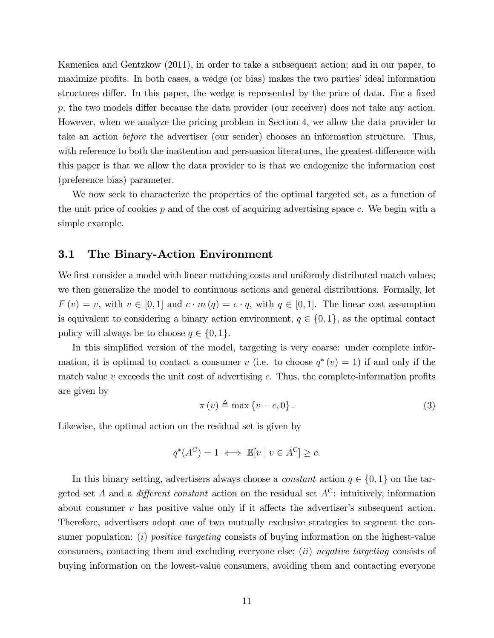Kamenica and Gentzkow (2011), in order to take a subsequent action; and in our paper, to maximize profits. In both cases, a wedge (or bias) makes the two parties' ideal information structures differ. In this paper, the wedge is represented by the price of data. For a fixed  $p$ , the two models differ because the data provider (our receiver) does not take any action. However, when we analyze the pricing problem in Section 4, we allow the data provider to take an action before the advertiser (our sender) chooses an information structure. Thus, with reference to both the inattention and persuasion literatures, the greatest difference with this paper is that we allow the data provider to is that we endogenize the information cost (preference bias) parameter.

We now seek to characterize the properties of the optimal targeted set, as a function of the unit price of cookies  $p$  and of the cost of acquiring advertising space  $c$ . We begin with a simple example.

## 3.1 The Binary-Action Environment

We first consider a model with linear matching costs and uniformly distributed match values; we then generalize the model to continuous actions and general distributions. Formally, let  $F(v) = v$ , with  $v \in [0, 1]$  and  $c \cdot m(q) = c \cdot q$ , with  $q \in [0, 1]$ . The linear cost assumption is equivalent to considering a binary action environment,  $q \in \{0, 1\}$ , as the optimal contact policy will always be to choose  $q \in \{0, 1\}.$ 

In this simplified version of the model, targeting is very coarse: under complete information, it is optimal to contact a consumer v (i.e. to choose  $q^*(v) = 1$ ) if and only if the match value  $v$  exceeds the unit cost of advertising  $c$ . Thus, the complete-information profits are given by

$$
\pi(v) \triangleq \max\{v - c, 0\}.
$$
\n(3)

Likewise, the optimal action on the residual set is given by

$$
q^*(A^C) = 1 \iff \mathbb{E}[v \mid v \in A^C] \ge c.
$$

In this binary setting, advertisers always choose a *constant* action  $q \in \{0, 1\}$  on the targeted set A and a *different constant* action on the residual set  $A^C$ : intuitively, information about consumer  $v$  has positive value only if it affects the advertiser's subsequent action. Therefore, advertisers adopt one of two mutually exclusive strategies to segment the consumer population: (i) positive targeting consists of buying information on the highest-value consumers, contacting them and excluding everyone else; (ii) negative targeting consists of buying information on the lowest-value consumers, avoiding them and contacting everyone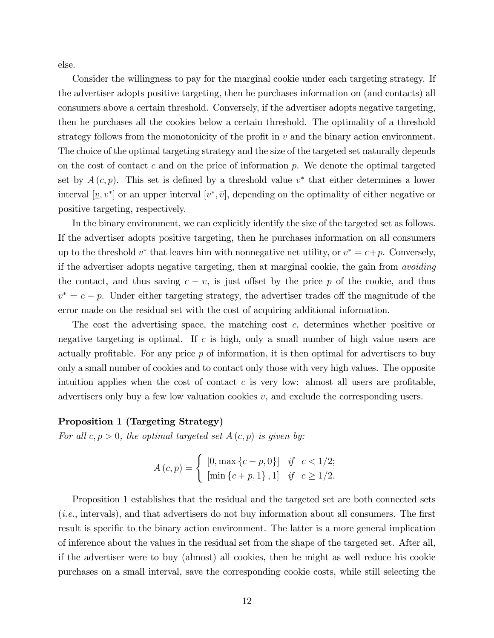else.

Consider the willingness to pay for the marginal cookie under each targeting strategy. If the advertiser adopts positive targeting, then he purchases information on (and contacts) all consumers above a certain threshold. Conversely, if the advertiser adopts negative targeting, then he purchases all the cookies below a certain threshold. The optimality of a threshold strategy follows from the monotonicity of the profit in  $v$  and the binary action environment. The choice of the optimal targeting strategy and the size of the targeted set naturally depends on the cost of contact c and on the price of information p. We denote the optimal targeted set by  $A(c, p)$ . This set is defined by a threshold value  $v^*$  that either determines a lower interval  $[\underline{v}, v^*]$  or an upper interval  $[v^*, \overline{v}]$ , depending on the optimality of either negative or positive targeting, respectively.

In the binary environment, we can explicitly identify the size of the targeted set as follows. If the advertiser adopts positive targeting, then he purchases information on all consumers up to the threshold  $v^*$  that leaves him with nonnegative net utility, or  $v^* = c + p$ . Conversely, if the advertiser adopts negative targeting, then at marginal cookie, the gain from avoiding the contact, and thus saving  $c - v$ , is just offset by the price p of the cookie, and thus  $v^* = c - p$ . Under either targeting strategy, the advertiser trades off the magnitude of the error made on the residual set with the cost of acquiring additional information.

The cost the advertising space, the matching cost c, determines whether positive or negative targeting is optimal. If c is high, only a small number of high value users are actually profitable. For any price  $p$  of information, it is then optimal for advertisers to buy only a small number of cookies and to contact only those with very high values. The opposite intuition applies when the cost of contact c is very low: almost all users are profitable, advertisers only buy a few low valuation cookies  $v$ , and exclude the corresponding users.

#### Proposition 1 (Targeting Strategy)

For all  $c, p > 0$ , the optimal targeted set  $A(c, p)$  is given by:

$$
A(c,p) = \begin{cases} [0, \max\{c-p, 0\}] & \text{if } c < 1/2; \\ [\min\{c+p, 1\}, 1] & \text{if } c \ge 1/2. \end{cases}
$$

Proposition 1 establishes that the residual and the targeted set are both connected sets  $(i.e.,$  intervals), and that advertisers do not buy information about all consumers. The first result is specific to the binary action environment. The latter is a more general implication of inference about the values in the residual set from the shape of the targeted set. After all, if the advertiser were to buy (almost) all cookies, then he might as well reduce his cookie purchases on a small interval, save the corresponding cookie costs, while still selecting the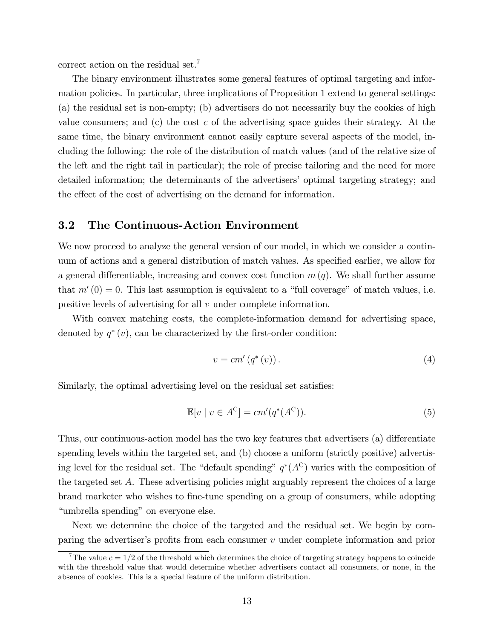correct action on the residual set.<sup>7</sup>

The binary environment illustrates some general features of optimal targeting and information policies. In particular, three implications of Proposition 1 extend to general settings: (a) the residual set is non-empty; (b) advertisers do not necessarily buy the cookies of high value consumers; and (c) the cost c of the advertising space guides their strategy. At the same time, the binary environment cannot easily capture several aspects of the model, including the following: the role of the distribution of match values (and of the relative size of the left and the right tail in particular); the role of precise tailoring and the need for more detailed information; the determinants of the advertisersí optimal targeting strategy; and the effect of the cost of advertising on the demand for information.

## 3.2 The Continuous-Action Environment

We now proceed to analyze the general version of our model, in which we consider a continuum of actions and a general distribution of match values. As specified earlier, we allow for a general differentiable, increasing and convex cost function  $m(q)$ . We shall further assume that  $m'(0) = 0$ . This last assumption is equivalent to a "full coverage" of match values, i.e. positive levels of advertising for all v under complete information.

With convex matching costs, the complete-information demand for advertising space, denoted by  $q^*(v)$ , can be characterized by the first-order condition:

$$
v = cm'\left(q^*\left(v\right)\right). \tag{4}
$$

Similarly, the optimal advertising level on the residual set satisfies:

$$
\mathbb{E}[v \mid v \in A^{\mathcal{C}}] = cm'(q^*(A^{\mathcal{C}})).
$$
\n<sup>(5)</sup>

Thus, our continuous-action model has the two key features that advertisers (a) differentiate spending levels within the targeted set, and (b) choose a uniform (strictly positive) advertising level for the residual set. The "default spending"  $q^*(A^C)$  varies with the composition of the targeted set A. These advertising policies might arguably represent the choices of a large brand marketer who wishes to Öne-tune spending on a group of consumers, while adopting "umbrella spending" on everyone else.

Next we determine the choice of the targeted and the residual set. We begin by comparing the advertiser's profits from each consumer  $v$  under complete information and prior

<sup>&</sup>lt;sup>7</sup>The value  $c = 1/2$  of the threshold which determines the choice of targeting strategy happens to coincide with the threshold value that would determine whether advertisers contact all consumers, or none, in the absence of cookies. This is a special feature of the uniform distribution.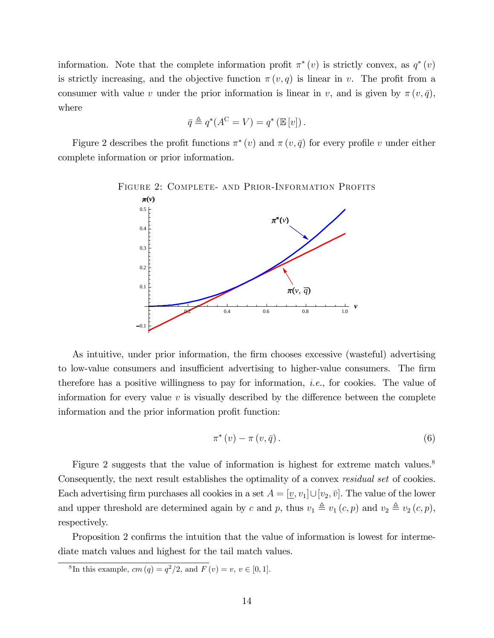information. Note that the complete information profit  $\pi^*(v)$  is strictly convex, as  $q^*(v)$ is strictly increasing, and the objective function  $\pi(v, q)$  is linear in v. The profit from a consumer with value v under the prior information is linear in v, and is given by  $\pi(v, \bar{q})$ , where

$$
\bar{q} \triangleq q^*(A^{\mathcal{C}} = V) = q^* (\mathbb{E}[v]).
$$

Figure 2 describes the profit functions  $\pi^*(v)$  and  $\pi(v, \bar{q})$  for every profile v under either complete information or prior information.



FIGURE 2: COMPLETE- AND PRIOR-INFORMATION PROFITS

As intuitive, under prior information, the firm chooses excessive (wasteful) advertising to low-value consumers and insufficient advertising to higher-value consumers. The firm therefore has a positive willingness to pay for information, *i.e.*, for cookies. The value of information for every value  $v$  is visually described by the difference between the complete information and the prior information profit function:

$$
\pi^*(v) - \pi(v, \bar{q}).\tag{6}
$$

Figure 2 suggests that the value of information is highest for extreme match values.<sup>8</sup> Consequently, the next result establishes the optimality of a convex *residual set* of cookies. Each advertising firm purchases all cookies in a set  $A = [\underline{v}, v_1] \cup [v_2, \overline{v}]$ . The value of the lower and upper threshold are determined again by c and p, thus  $v_1 \triangleq v_1 (c, p)$  and  $v_2 \triangleq v_2 (c, p)$ , respectively.

Proposition 2 confirms the intuition that the value of information is lowest for intermediate match values and highest for the tail match values.

<sup>8</sup>In this example,  $cm (q) = q^2/2$ , and  $F (v) = v, v \in [0, 1]$ .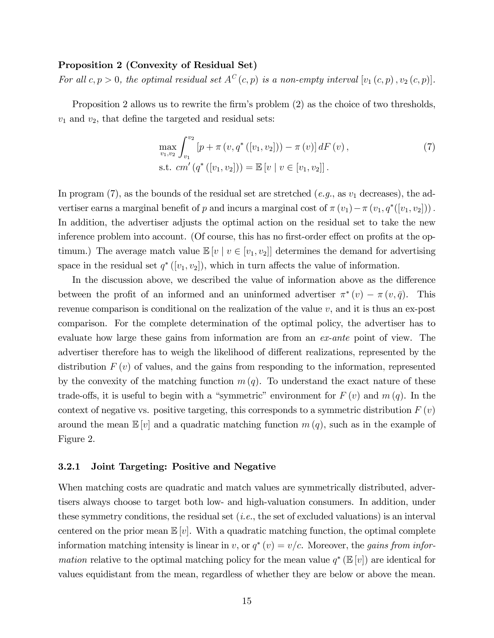#### Proposition 2 (Convexity of Residual Set)

For all  $c, p > 0$ , the optimal residual set  $A^C(c, p)$  is a non-empty interval  $[v_1(c, p), v_2(c, p)]$ .

Proposition 2 allows us to rewrite the firm's problem (2) as the choice of two thresholds,  $v_1$  and  $v_2$ , that define the targeted and residual sets:

$$
\max_{v_1, v_2} \int_{v_1}^{v_2} \left[ p + \pi \left( v, q^* \left( [v_1, v_2] \right) \right) - \pi \left( v \right) \right] dF \left( v \right),
$$
\n
$$
\text{s.t. } cm' \left( q^* \left( [v_1, v_2] \right) \right) = \mathbb{E} \left[ v \mid v \in [v_1, v_2] \right].
$$
\n
$$
(7)
$$

In program (7), as the bounds of the residual set are stretched (e.g., as  $v_1$  decreases), the advertiser earns a marginal benefit of p and incurs a marginal cost of  $\pi(v_1) - \pi(v_1, q^*([v_1, v_2]))$ . In addition, the advertiser adjusts the optimal action on the residual set to take the new inference problem into account. (Of course, this has no first-order effect on profits at the optimum.) The average match value  $\mathbb{E}[v \mid v \in [v_1, v_2]]$  determines the demand for advertising space in the residual set  $q^*([v_1, v_2])$ , which in turn affects the value of information.

In the discussion above, we described the value of information above as the difference between the profit of an informed and an uninformed advertiser  $\pi^*(v) - \pi(v, \bar{q})$ . This revenue comparison is conditional on the realization of the value  $v$ , and it is thus an ex-post comparison. For the complete determination of the optimal policy, the advertiser has to evaluate how large these gains from information are from an ex-ante point of view. The advertiser therefore has to weigh the likelihood of different realizations, represented by the distribution  $F(v)$  of values, and the gains from responding to the information, represented by the convexity of the matching function  $m(q)$ . To understand the exact nature of these trade-offs, it is useful to begin with a "symmetric" environment for  $F(v)$  and  $m(q)$ . In the context of negative vs. positive targeting, this corresponds to a symmetric distribution  $F(v)$ around the mean  $\mathbb{E}[v]$  and a quadratic matching function  $m(q)$ , such as in the example of Figure 2.

#### 3.2.1 Joint Targeting: Positive and Negative

When matching costs are quadratic and match values are symmetrically distributed, advertisers always choose to target both low- and high-valuation consumers. In addition, under these symmetry conditions, the residual set  $(i.e.,$  the set of excluded valuations) is an interval centered on the prior mean  $\mathbb{E}[v]$ . With a quadratic matching function, the optimal complete information matching intensity is linear in v, or  $q^*(v) = v/c$ . Moreover, the *gains from infor*mation relative to the optimal matching policy for the mean value  $q^* (\mathbb{E}[v])$  are identical for values equidistant from the mean, regardless of whether they are below or above the mean.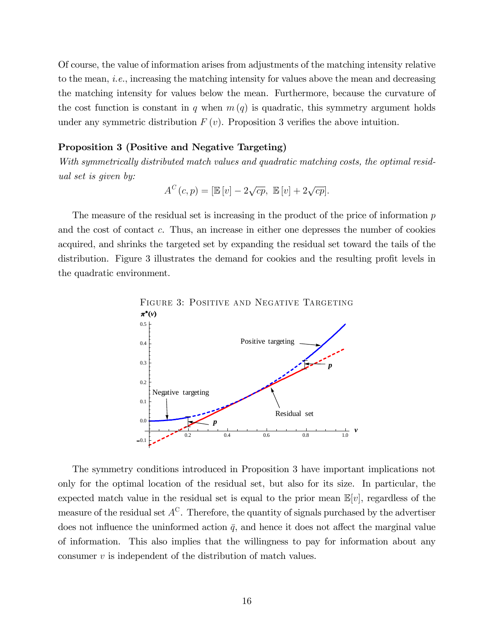Of course, the value of information arises from adjustments of the matching intensity relative to the mean, i.e., increasing the matching intensity for values above the mean and decreasing the matching intensity for values below the mean. Furthermore, because the curvature of the cost function is constant in q when  $m(q)$  is quadratic, this symmetry argument holds under any symmetric distribution  $F(v)$ . Proposition 3 verifies the above intuition.

#### Proposition 3 (Positive and Negative Targeting)

With symmetrically distributed match values and quadratic matching costs, the optimal residual set is given by:

$$
A^{C}(c,p) = [\mathbb{E}[v] - 2\sqrt{cp}, \ \mathbb{E}[v] + 2\sqrt{cp}].
$$

The measure of the residual set is increasing in the product of the price of information  $p$ and the cost of contact c. Thus, an increase in either one depresses the number of cookies acquired, and shrinks the targeted set by expanding the residual set toward the tails of the distribution. Figure 3 illustrates the demand for cookies and the resulting profit levels in the quadratic environment.



The symmetry conditions introduced in Proposition 3 have important implications not only for the optimal location of the residual set, but also for its size. In particular, the expected match value in the residual set is equal to the prior mean  $\mathbb{E}[v]$ , regardless of the measure of the residual set  $A^C$ . Therefore, the quantity of signals purchased by the advertiser does not influence the uninformed action  $\bar{q}$ , and hence it does not affect the marginal value of information. This also implies that the willingness to pay for information about any consumer  $v$  is independent of the distribution of match values.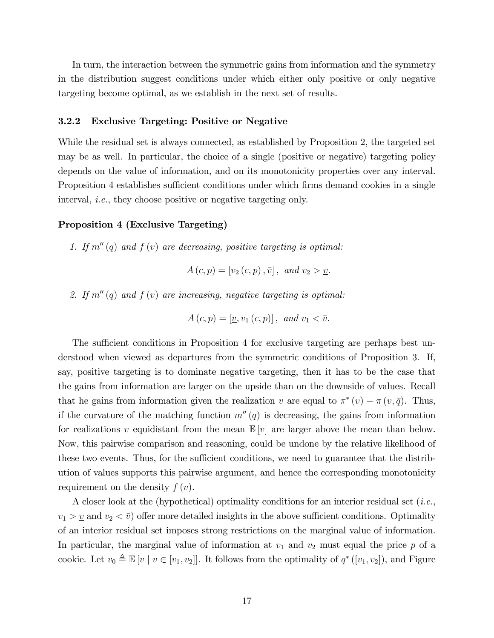In turn, the interaction between the symmetric gains from information and the symmetry in the distribution suggest conditions under which either only positive or only negative targeting become optimal, as we establish in the next set of results.

#### 3.2.2 Exclusive Targeting: Positive or Negative

While the residual set is always connected, as established by Proposition 2, the targeted set may be as well. In particular, the choice of a single (positive or negative) targeting policy depends on the value of information, and on its monotonicity properties over any interval. Proposition 4 establishes sufficient conditions under which firms demand cookies in a single interval, i.e., they choose positive or negative targeting only.

#### Proposition 4 (Exclusive Targeting)

1. If  $m''(q)$  and  $f(v)$  are decreasing, positive targeting is optimal:

$$
A(c, p) = [v_2(c, p), \bar{v}], \text{ and } v_2 > \underline{v}.
$$

2. If  $m''(q)$  and  $f(v)$  are increasing, negative targeting is optimal:

$$
A(c,p) = [\underline{v}, v_1(c,p)], \text{ and } v_1 < \overline{v}.
$$

The sufficient conditions in Proposition 4 for exclusive targeting are perhaps best understood when viewed as departures from the symmetric conditions of Proposition 3. If, say, positive targeting is to dominate negative targeting, then it has to be the case that the gains from information are larger on the upside than on the downside of values. Recall that he gains from information given the realization v are equal to  $\pi^*(v) - \pi(v, \bar{q})$ . Thus, if the curvature of the matching function  $m''(q)$  is decreasing, the gains from information for realizations v equidistant from the mean  $\mathbb{E}[v]$  are larger above the mean than below. Now, this pairwise comparison and reasoning, could be undone by the relative likelihood of these two events. Thus, for the sufficient conditions, we need to guarantee that the distribution of values supports this pairwise argument, and hence the corresponding monotonicity requirement on the density  $f(v)$ .

A closer look at the (hypothetical) optimality conditions for an interior residual set (i.e.,  $v_1 > v_2$  and  $v_2 < \bar{v}$ ) offer more detailed insights in the above sufficient conditions. Optimality of an interior residual set imposes strong restrictions on the marginal value of information. In particular, the marginal value of information at  $v_1$  and  $v_2$  must equal the price p of a cookie. Let  $v_0 \triangleq \mathbb{E}[v \mid v \in [v_1, v_2]]$ . It follows from the optimality of  $q^*([v_1, v_2])$ , and Figure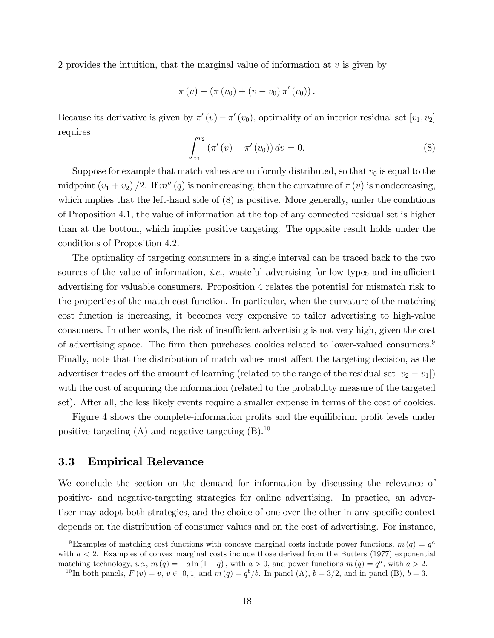2 provides the intuition, that the marginal value of information at  $v$  is given by

$$
\pi(v) - (\pi(v_0) + (v - v_0)\pi'(v_0)).
$$

Because its derivative is given by  $\pi'(v) - \pi'(v_0)$ , optimality of an interior residual set  $[v_1, v_2]$ requires

$$
\int_{v_1}^{v_2} (\pi'(v) - \pi'(v_0)) dv = 0.
$$
 (8)

Suppose for example that match values are uniformly distributed, so that  $v_0$  is equal to the midpoint  $(v_1 + v_2)/2$ . If  $m''(q)$  is nonincreasing, then the curvature of  $\pi(v)$  is nondecreasing, which implies that the left-hand side of  $(8)$  is positive. More generally, under the conditions of Proposition 4.1, the value of information at the top of any connected residual set is higher than at the bottom, which implies positive targeting. The opposite result holds under the conditions of Proposition 4.2.

The optimality of targeting consumers in a single interval can be traced back to the two sources of the value of information, *i.e.*, wasteful advertising for low types and insufficient advertising for valuable consumers. Proposition 4 relates the potential for mismatch risk to the properties of the match cost function. In particular, when the curvature of the matching cost function is increasing, it becomes very expensive to tailor advertising to high-value consumers. In other words, the risk of insufficient advertising is not very high, given the cost of advertising space. The firm then purchases cookies related to lower-valued consumers.<sup>9</sup> Finally, note that the distribution of match values must affect the targeting decision, as the advertiser trades off the amount of learning (related to the range of the residual set  $|v_2 - v_1|$ ) with the cost of acquiring the information (related to the probability measure of the targeted set). After all, the less likely events require a smaller expense in terms of the cost of cookies.

Figure 4 shows the complete-information profits and the equilibrium profit levels under positive targeting  $(A)$  and negative targeting  $(B)$ .<sup>10</sup>

## 3.3 Empirical Relevance

We conclude the section on the demand for information by discussing the relevance of positive- and negative-targeting strategies for online advertising. In practice, an advertiser may adopt both strategies, and the choice of one over the other in any specific context depends on the distribution of consumer values and on the cost of advertising. For instance,

<sup>&</sup>lt;sup>9</sup>Examples of matching cost functions with concave marginal costs include power functions,  $m(q) = q<sup>a</sup>$ with  $a < 2$ . Examples of convex marginal costs include those derived from the Butters (1977) exponential matching technology, *i.e.*,  $m(q) = -a \ln(1-q)$ , with  $a > 0$ , and power functions  $m(q) = q^a$ , with  $a > 2$ .

<sup>&</sup>lt;sup>10</sup>In both panels,  $F(v) = v, v \in [0, 1]$  and  $m(q) = q^b/b$ . In panel (A),  $b = 3/2$ , and in panel (B),  $b = 3$ .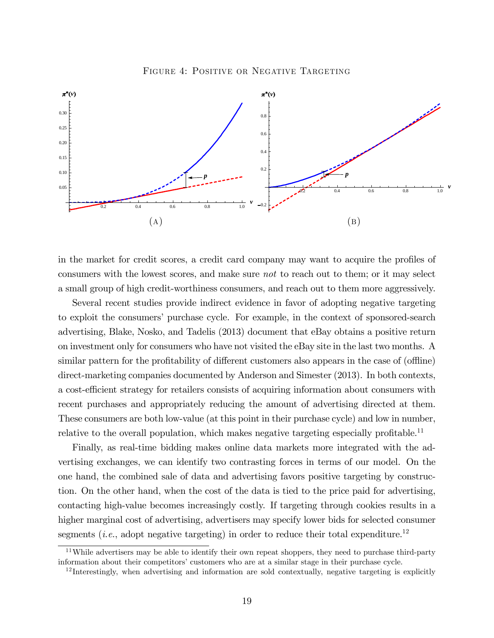FIGURE 4: POSITIVE OR NEGATIVE TARGETING



in the market for credit scores, a credit card company may want to acquire the profiles of consumers with the lowest scores, and make sure not to reach out to them; or it may select a small group of high credit-worthiness consumers, and reach out to them more aggressively.

Several recent studies provide indirect evidence in favor of adopting negative targeting to exploit the consumers' purchase cycle. For example, in the context of sponsored-search advertising, Blake, Nosko, and Tadelis (2013) document that eBay obtains a positive return on investment only for consumers who have not visited the eBay site in the last two months. A similar pattern for the profitability of different customers also appears in the case of (offline) direct-marketing companies documented by Anderson and Simester (2013). In both contexts, a cost-efficient strategy for retailers consists of acquiring information about consumers with recent purchases and appropriately reducing the amount of advertising directed at them. These consumers are both low-value (at this point in their purchase cycle) and low in number, relative to the overall population, which makes negative targeting especially profitable.<sup>11</sup>

Finally, as real-time bidding makes online data markets more integrated with the advertising exchanges, we can identify two contrasting forces in terms of our model. On the one hand, the combined sale of data and advertising favors positive targeting by construction. On the other hand, when the cost of the data is tied to the price paid for advertising, contacting high-value becomes increasingly costly. If targeting through cookies results in a higher marginal cost of advertising, advertisers may specify lower bids for selected consumer segments (*i.e.*, adopt negative targeting) in order to reduce their total expenditure.<sup>12</sup>

<sup>&</sup>lt;sup>11</sup>While advertisers may be able to identify their own repeat shoppers, they need to purchase third-party information about their competitors' customers who are at a similar stage in their purchase cycle.

<sup>&</sup>lt;sup>12</sup>Interestingly, when advertising and information are sold contextually, negative targeting is explicitly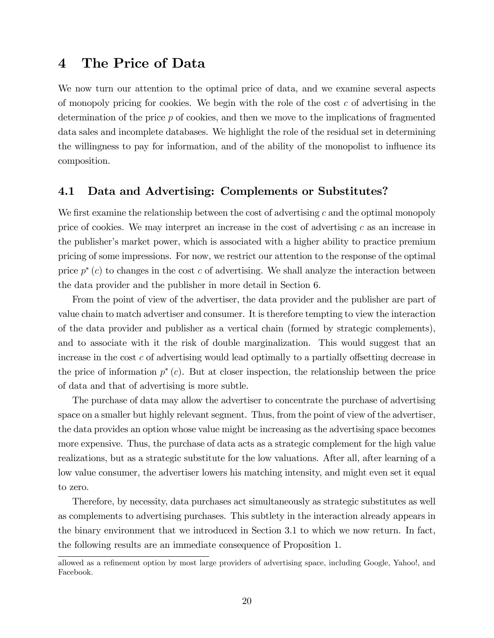## 4 The Price of Data

We now turn our attention to the optimal price of data, and we examine several aspects of monopoly pricing for cookies. We begin with the role of the cost  $c$  of advertising in the determination of the price p of cookies, and then we move to the implications of fragmented data sales and incomplete databases. We highlight the role of the residual set in determining the willingness to pay for information, and of the ability of the monopolist to influence its composition.

## 4.1 Data and Advertising: Complements or Substitutes?

We first examine the relationship between the cost of advertising  $c$  and the optimal monopoly price of cookies. We may interpret an increase in the cost of advertising  $c$  as an increase in the publisher's market power, which is associated with a higher ability to practice premium pricing of some impressions. For now, we restrict our attention to the response of the optimal price  $p^*(c)$  to changes in the cost c of advertising. We shall analyze the interaction between the data provider and the publisher in more detail in Section 6.

From the point of view of the advertiser, the data provider and the publisher are part of value chain to match advertiser and consumer. It is therefore tempting to view the interaction of the data provider and publisher as a vertical chain (formed by strategic complements), and to associate with it the risk of double marginalization. This would suggest that an increase in the cost  $c$  of advertising would lead optimally to a partially offsetting decrease in the price of information  $p^*(c)$ . But at closer inspection, the relationship between the price of data and that of advertising is more subtle.

The purchase of data may allow the advertiser to concentrate the purchase of advertising space on a smaller but highly relevant segment. Thus, from the point of view of the advertiser, the data provides an option whose value might be increasing as the advertising space becomes more expensive. Thus, the purchase of data acts as a strategic complement for the high value realizations, but as a strategic substitute for the low valuations. After all, after learning of a low value consumer, the advertiser lowers his matching intensity, and might even set it equal to zero.

Therefore, by necessity, data purchases act simultaneously as strategic substitutes as well as complements to advertising purchases. This subtlety in the interaction already appears in the binary environment that we introduced in Section 3.1 to which we now return. In fact, the following results are an immediate consequence of Proposition 1.

allowed as a refinement option by most large providers of advertising space, including Google, Yahoo!, and Facebook.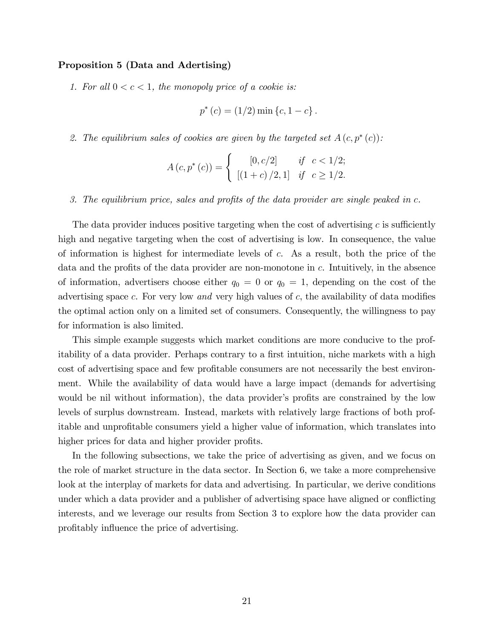#### Proposition 5 (Data and Adertising)

1. For all  $0 < c < 1$ , the monopoly price of a cookie is:

$$
p^*(c) = (1/2) \min \{c, 1 - c\}.
$$

2. The equilibrium sales of cookies are given by the targeted set  $A(c, p^*(c))$ :

$$
A(c, p^{*}(c)) = \begin{cases} [0, c/2] & \text{if } c < 1/2; \\ [(1 + c) / 2, 1] & \text{if } c \ge 1/2. \end{cases}
$$

3. The equilibrium price, sales and profits of the data provider are single peaked in  $c$ .

The data provider induces positive targeting when the cost of advertising  $c$  is sufficiently high and negative targeting when the cost of advertising is low. In consequence, the value of information is highest for intermediate levels of c. As a result, both the price of the data and the profits of the data provider are non-monotone in  $c$ . Intuitively, in the absence of information, advertisers choose either  $q_0 = 0$  or  $q_0 = 1$ , depending on the cost of the advertising space c. For very low and very high values of  $c$ , the availability of data modifies the optimal action only on a limited set of consumers. Consequently, the willingness to pay for information is also limited.

This simple example suggests which market conditions are more conducive to the profitability of a data provider. Perhaps contrary to a first intuition, niche markets with a high cost of advertising space and few profitable consumers are not necessarily the best environment. While the availability of data would have a large impact (demands for advertising would be nil without information), the data provider's profits are constrained by the low levels of surplus downstream. Instead, markets with relatively large fractions of both profitable and unprofitable consumers yield a higher value of information, which translates into higher prices for data and higher provider profits.

In the following subsections, we take the price of advertising as given, and we focus on the role of market structure in the data sector. In Section 6, we take a more comprehensive look at the interplay of markets for data and advertising. In particular, we derive conditions under which a data provider and a publisher of advertising space have aligned or conflicting interests, and we leverage our results from Section 3 to explore how the data provider can profitably influence the price of advertising.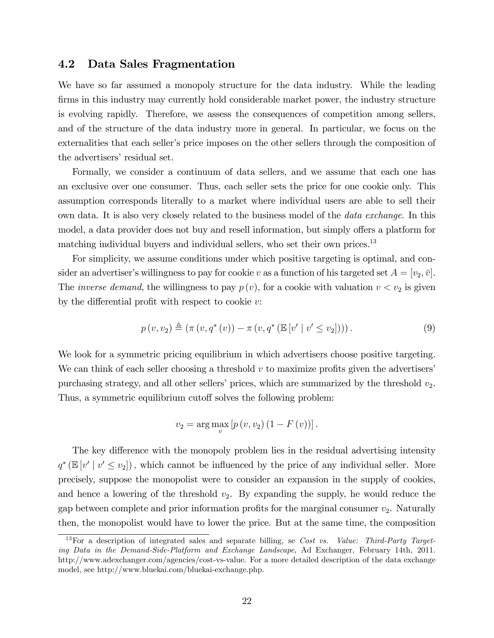## 4.2 Data Sales Fragmentation

We have so far assumed a monopoly structure for the data industry. While the leading firms in this industry may currently hold considerable market power, the industry structure is evolving rapidly. Therefore, we assess the consequences of competition among sellers, and of the structure of the data industry more in general. In particular, we focus on the externalities that each seller's price imposes on the other sellers through the composition of the advertisers' residual set.

Formally, we consider a continuum of data sellers, and we assume that each one has an exclusive over one consumer. Thus, each seller sets the price for one cookie only. This assumption corresponds literally to a market where individual users are able to sell their own data. It is also very closely related to the business model of the *data exchange*. In this model, a data provider does not buy and resell information, but simply offers a platform for matching individual buyers and individual sellers, who set their own prices.<sup>13</sup>

For simplicity, we assume conditions under which positive targeting is optimal, and consider an advertiser's willingness to pay for cookie v as a function of his targeted set  $A = [v_2, \bar{v}]$ . The *inverse demand*, the willingness to pay  $p(v)$ , for a cookie with valuation  $v < v_2$  is given by the differential profit with respect to cookie  $v$ :

$$
p(v, v_2) \triangleq (\pi(v, q^*(v)) - \pi(v, q^*(\mathbb{E}[v' | v' \le v_2])))
$$
 (9)

We look for a symmetric pricing equilibrium in which advertisers choose positive targeting. We can think of each seller choosing a threshold  $v$  to maximize profits given the advertisers' purchasing strategy, and all other sellers' prices, which are summarized by the threshold  $v_2$ . Thus, a symmetric equilibrium cutoff solves the following problem:

$$
v_2 = \arg \max_{v} [p(v, v_2) (1 - F(v))].
$$

The key difference with the monopoly problem lies in the residual advertising intensity  $q^*$  ( $\mathbb{E}[v' | v' \le v_2]$ ), which cannot be influenced by the price of any individual seller. More precisely, suppose the monopolist were to consider an expansion in the supply of cookies, and hence a lowering of the threshold  $v_2$ . By expanding the supply, he would reduce the gap between complete and prior information profits for the marginal consumer  $v_2$ . Naturally then, the monopolist would have to lower the price. But at the same time, the composition

 $13$  For a description of integrated sales and separate billing, se Cost vs. Value: Third-Party Targeting Data in the Demand-Side-Platform and Exchange Landscape, Ad Exchanger, February 14th, 2011. http://www.adexchanger.com/agencies/cost-vs-value. For a more detailed description of the data exchange model, see http://www.bluekai.com/bluekai-exchange.php.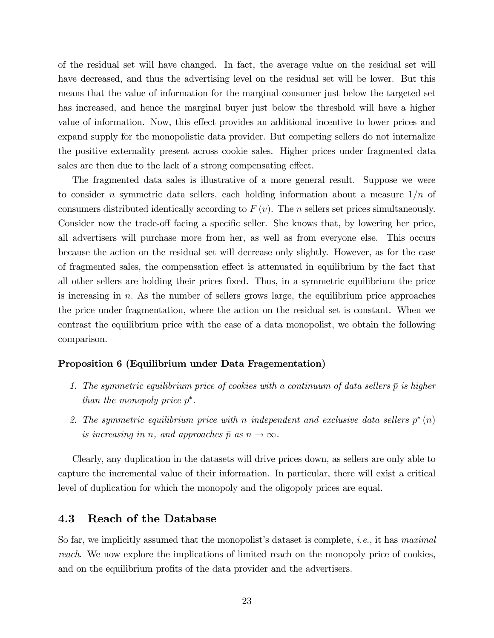of the residual set will have changed. In fact, the average value on the residual set will have decreased, and thus the advertising level on the residual set will be lower. But this means that the value of information for the marginal consumer just below the targeted set has increased, and hence the marginal buyer just below the threshold will have a higher value of information. Now, this effect provides an additional incentive to lower prices and expand supply for the monopolistic data provider. But competing sellers do not internalize the positive externality present across cookie sales. Higher prices under fragmented data sales are then due to the lack of a strong compensating effect.

The fragmented data sales is illustrative of a more general result. Suppose we were to consider n symmetric data sellers, each holding information about a measure  $1/n$  of consumers distributed identically according to  $F(v)$ . The *n* sellers set prices simultaneously. Consider now the trade-off facing a specific seller. She knows that, by lowering her price, all advertisers will purchase more from her, as well as from everyone else. This occurs because the action on the residual set will decrease only slightly. However, as for the case of fragmented sales, the compensation effect is attenuated in equilibrium by the fact that all other sellers are holding their prices Öxed. Thus, in a symmetric equilibrium the price is increasing in  $n$ . As the number of sellers grows large, the equilibrium price approaches the price under fragmentation, where the action on the residual set is constant. When we contrast the equilibrium price with the case of a data monopolist, we obtain the following comparison.

#### Proposition 6 (Equilibrium under Data Fragementation)

- 1. The symmetric equilibrium price of cookies with a continuum of data sellers  $\bar{p}$  is higher than the monopoly price  $p^*$ .
- 2. The symmetric equilibrium price with n independent and exclusive data sellers  $p^*(n)$ is increasing in n, and approaches  $\bar{p}$  as  $n \to \infty$ .

Clearly, any duplication in the datasets will drive prices down, as sellers are only able to capture the incremental value of their information. In particular, there will exist a critical level of duplication for which the monopoly and the oligopoly prices are equal.

### 4.3 Reach of the Database

So far, we implicitly assumed that the monopolist's dataset is complete, *i.e.*, it has *maximal* reach. We now explore the implications of limited reach on the monopoly price of cookies, and on the equilibrium profits of the data provider and the advertisers.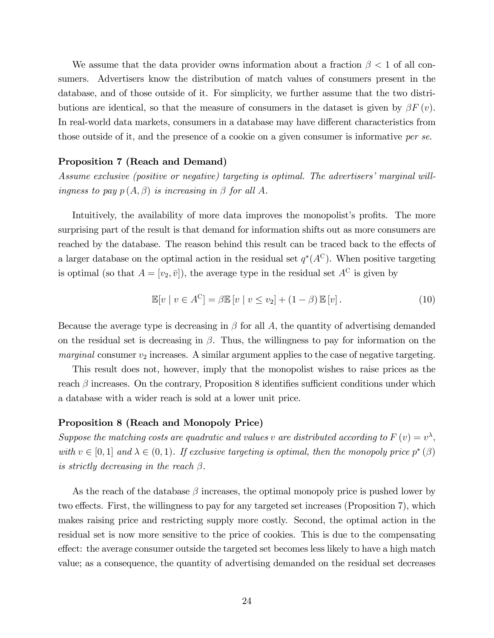We assume that the data provider owns information about a fraction  $\beta < 1$  of all consumers. Advertisers know the distribution of match values of consumers present in the database, and of those outside of it. For simplicity, we further assume that the two distributions are identical, so that the measure of consumers in the dataset is given by  $\beta F(v)$ . In real-world data markets, consumers in a database may have different characteristics from those outside of it, and the presence of a cookie on a given consumer is informative per se.

#### Proposition 7 (Reach and Demand)

Assume exclusive (positive or negative) targeting is optimal. The advertisers' marginal willingness to pay  $p(A, \beta)$  is increasing in  $\beta$  for all A.

Intuitively, the availability of more data improves the monopolist's profits. The more surprising part of the result is that demand for information shifts out as more consumers are reached by the database. The reason behind this result can be traced back to the effects of a larger database on the optimal action in the residual set  $q^*(A^C)$ . When positive targeting is optimal (so that  $A = [v_2, \bar{v}]$ ), the average type in the residual set  $A^C$  is given by

$$
\mathbb{E}[v \mid v \in A^C] = \beta \mathbb{E}[v \mid v \le v_2] + (1 - \beta) \mathbb{E}[v]. \tag{10}
$$

Because the average type is decreasing in  $\beta$  for all A, the quantity of advertising demanded on the residual set is decreasing in  $\beta$ . Thus, the willingness to pay for information on the *marginal* consumer  $v_2$  increases. A similar argument applies to the case of negative targeting.

This result does not, however, imply that the monopolist wishes to raise prices as the reach  $\beta$  increases. On the contrary, Proposition 8 identifies sufficient conditions under which a database with a wider reach is sold at a lower unit price.

#### Proposition 8 (Reach and Monopoly Price)

Suppose the matching costs are quadratic and values v are distributed according to  $F(v) = v^{\lambda}$ , with  $v \in [0, 1]$  and  $\lambda \in (0, 1)$ . If exclusive targeting is optimal, then the monopoly price  $p^*(\beta)$ is strictly decreasing in the reach  $\beta$ .

As the reach of the database  $\beta$  increases, the optimal monopoly price is pushed lower by two effects. First, the willingness to pay for any targeted set increases (Proposition 7), which makes raising price and restricting supply more costly. Second, the optimal action in the residual set is now more sensitive to the price of cookies. This is due to the compensating effect: the average consumer outside the targeted set becomes less likely to have a high match value; as a consequence, the quantity of advertising demanded on the residual set decreases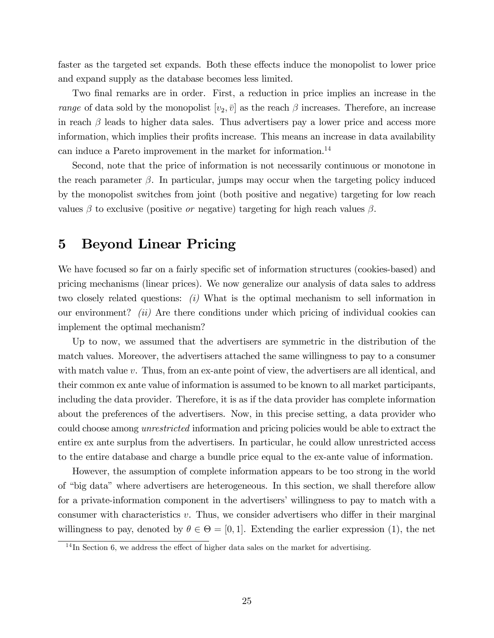faster as the targeted set expands. Both these effects induce the monopolist to lower price and expand supply as the database becomes less limited.

Two final remarks are in order. First, a reduction in price implies an increase in the *range* of data sold by the monopolist  $|v_2, \bar{v}|$  as the reach  $\beta$  increases. Therefore, an increase in reach  $\beta$  leads to higher data sales. Thus advertisers pay a lower price and access more information, which implies their profits increase. This means an increase in data availability can induce a Pareto improvement in the market for information.<sup>14</sup>

Second, note that the price of information is not necessarily continuous or monotone in the reach parameter  $\beta$ . In particular, jumps may occur when the targeting policy induced by the monopolist switches from joint (both positive and negative) targeting for low reach values  $\beta$  to exclusive (positive *or* negative) targeting for high reach values  $\beta$ .

## 5 Beyond Linear Pricing

We have focused so far on a fairly specific set of information structures (cookies-based) and pricing mechanisms (linear prices). We now generalize our analysis of data sales to address two closely related questions:  $(i)$  What is the optimal mechanism to sell information in our environment? *(ii)* Are there conditions under which pricing of individual cookies can implement the optimal mechanism?

Up to now, we assumed that the advertisers are symmetric in the distribution of the match values. Moreover, the advertisers attached the same willingness to pay to a consumer with match value v. Thus, from an ex-ante point of view, the advertisers are all identical, and their common ex ante value of information is assumed to be known to all market participants, including the data provider. Therefore, it is as if the data provider has complete information about the preferences of the advertisers. Now, in this precise setting, a data provider who could choose among unrestricted information and pricing policies would be able to extract the entire ex ante surplus from the advertisers. In particular, he could allow unrestricted access to the entire database and charge a bundle price equal to the ex-ante value of information.

However, the assumption of complete information appears to be too strong in the world of "big data" where advertisers are heterogeneous. In this section, we shall therefore allow for a private-information component in the advertisers' willingness to pay to match with a consumer with characteristics  $v$ . Thus, we consider advertisers who differ in their marginal willingness to pay, denoted by  $\theta \in \Theta = [0, 1]$ . Extending the earlier expression (1), the net

 $14$ In Section 6, we address the effect of higher data sales on the market for advertising.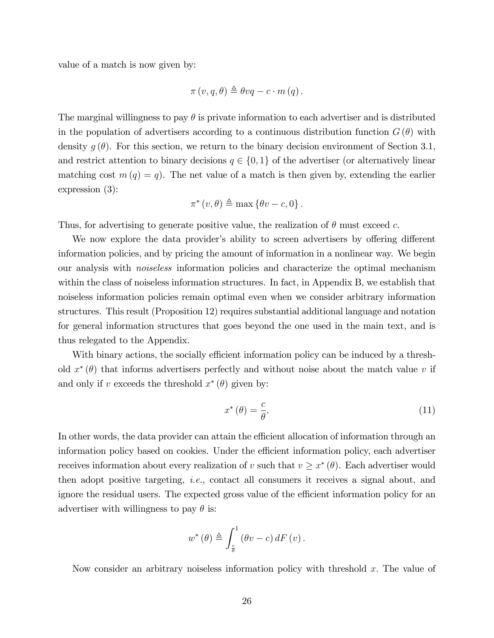value of a match is now given by:

$$
\pi(v, q, \theta) \triangleq \theta vq - c \cdot m(q).
$$

The marginal willingness to pay  $\theta$  is private information to each advertiser and is distributed in the population of advertisers according to a continuous distribution function  $G(\theta)$  with density  $g(\theta)$ . For this section, we return to the binary decision environment of Section 3.1, and restrict attention to binary decisions  $q \in \{0, 1\}$  of the advertiser (or alternatively linear matching cost  $m(q) = q$ . The net value of a match is then given by, extending the earlier expression (3):

$$
\pi^*(v,\theta) \triangleq \max\left\{\theta v - c, 0\right\}.
$$

Thus, for advertising to generate positive value, the realization of  $\theta$  must exceed c.

We now explore the data provider's ability to screen advertisers by offering different information policies, and by pricing the amount of information in a nonlinear way. We begin our analysis with noiseless information policies and characterize the optimal mechanism within the class of noiseless information structures. In fact, in Appendix B, we establish that noiseless information policies remain optimal even when we consider arbitrary information structures. This result (Proposition 12) requires substantial additional language and notation for general information structures that goes beyond the one used in the main text, and is thus relegated to the Appendix.

With binary actions, the socially efficient information policy can be induced by a threshold  $x^*(\theta)$  that informs advertisers perfectly and without noise about the match value v if and only if v exceeds the threshold  $x^*(\theta)$  given by:

$$
x^*(\theta) = \frac{c}{\theta}.\tag{11}
$$

In other words, the data provider can attain the efficient allocation of information through an information policy based on cookies. Under the efficient information policy, each advertiser receives information about every realization of v such that  $v \geq x^*$  ( $\theta$ ). Each advertiser would then adopt positive targeting, i.e., contact all consumers it receives a signal about, and ignore the residual users. The expected gross value of the efficient information policy for an advertiser with willingness to pay  $\theta$  is:

$$
w^{\ast}\left(\theta\right) \triangleq \int_{\frac{c}{\theta}}^{1}\left(\theta v - c\right)dF\left(v\right).
$$

Now consider an arbitrary noiseless information policy with threshold  $x$ . The value of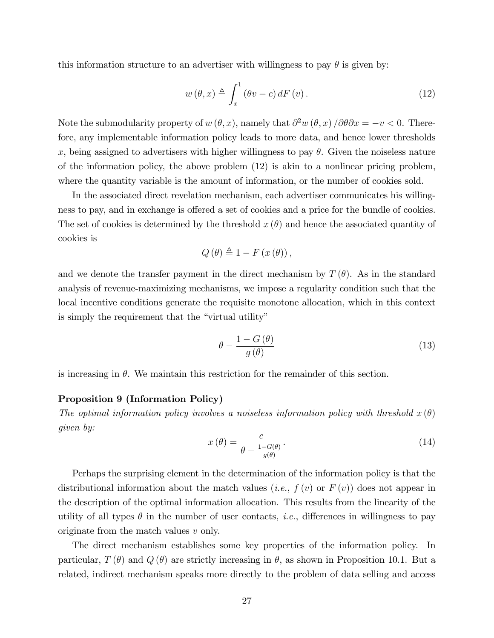this information structure to an advertiser with willingness to pay  $\theta$  is given by:

$$
w(\theta, x) \triangleq \int_{x}^{1} (\theta v - c) dF(v).
$$
 (12)

Note the submodularity property of  $w(\theta, x)$ , namely that  $\partial^2 w(\theta, x) / \partial \theta \partial x = -v < 0$ . Therefore, any implementable information policy leads to more data, and hence lower thresholds x, being assigned to advertisers with higher willingness to pay  $\theta$ . Given the noiseless nature of the information policy, the above problem  $(12)$  is akin to a nonlinear pricing problem, where the quantity variable is the amount of information, or the number of cookies sold.

In the associated direct revelation mechanism, each advertiser communicates his willingness to pay, and in exchange is offered a set of cookies and a price for the bundle of cookies. The set of cookies is determined by the threshold  $x(\theta)$  and hence the associated quantity of cookies is

$$
Q(\theta) \triangleq 1 - F(x(\theta)),
$$

and we denote the transfer payment in the direct mechanism by  $T(\theta)$ . As in the standard analysis of revenue-maximizing mechanisms, we impose a regularity condition such that the local incentive conditions generate the requisite monotone allocation, which in this context is simply the requirement that the "virtual utility"

$$
\theta - \frac{1 - G(\theta)}{g(\theta)}\tag{13}
$$

is increasing in  $\theta$ . We maintain this restriction for the remainder of this section.

#### Proposition 9 (Information Policy)

The optimal information policy involves a noiseless information policy with threshold  $x(\theta)$ given by:

$$
x(\theta) = \frac{c}{\theta - \frac{1 - G(\theta)}{g(\theta)}}.
$$
\n(14)

Perhaps the surprising element in the determination of the information policy is that the distributional information about the match values (*i.e.*,  $f(v)$  or  $F(v)$ ) does not appear in the description of the optimal information allocation. This results from the linearity of the utility of all types  $\theta$  in the number of user contacts, *i.e.*, differences in willingness to pay originate from the match values v only.

The direct mechanism establishes some key properties of the information policy. In particular,  $T(\theta)$  and  $Q(\theta)$  are strictly increasing in  $\theta$ , as shown in Proposition 10.1. But a related, indirect mechanism speaks more directly to the problem of data selling and access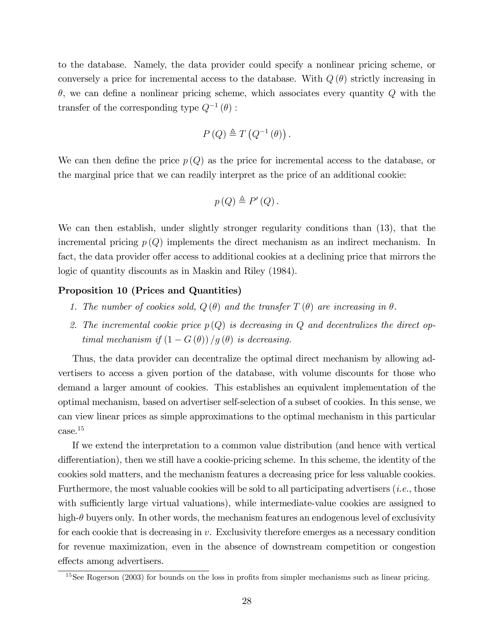to the database. Namely, the data provider could specify a nonlinear pricing scheme, or conversely a price for incremental access to the database. With  $Q(\theta)$  strictly increasing in  $\theta$ , we can define a nonlinear pricing scheme, which associates every quantity  $Q$  with the transfer of the corresponding type  $Q^{-1}(\theta)$ :

$$
P(Q) \triangleq T(Q^{-1}(\theta)).
$$

We can then define the price  $p(Q)$  as the price for incremental access to the database, or the marginal price that we can readily interpret as the price of an additional cookie:

$$
p(Q) \triangleq P'(Q).
$$

We can then establish, under slightly stronger regularity conditions than (13), that the incremental pricing  $p(Q)$  implements the direct mechanism as an indirect mechanism. In fact, the data provider offer access to additional cookies at a declining price that mirrors the logic of quantity discounts as in Maskin and Riley (1984).

#### Proposition 10 (Prices and Quantities)

- 1. The number of cookies sold,  $Q(\theta)$  and the transfer  $T(\theta)$  are increasing in  $\theta$ .
- 2. The incremental cookie price  $p(Q)$  is decreasing in Q and decentralizes the direct optimal mechanism if  $(1 - G(\theta))/g(\theta)$  is decreasing.

Thus, the data provider can decentralize the optimal direct mechanism by allowing advertisers to access a given portion of the database, with volume discounts for those who demand a larger amount of cookies. This establishes an equivalent implementation of the optimal mechanism, based on advertiser self-selection of a subset of cookies. In this sense, we can view linear prices as simple approximations to the optimal mechanism in this particular case.<sup>15</sup>

If we extend the interpretation to a common value distribution (and hence with vertical differentiation), then we still have a cookie-pricing scheme. In this scheme, the identity of the cookies sold matters, and the mechanism features a decreasing price for less valuable cookies. Furthermore, the most valuable cookies will be sold to all participating advertisers (*i.e.*, those with sufficiently large virtual valuations), while intermediate-value cookies are assigned to high- $\theta$  buyers only. In other words, the mechanism features an endogenous level of exclusivity for each cookie that is decreasing in  $v$ . Exclusivity therefore emerges as a necessary condition for revenue maximization, even in the absence of downstream competition or congestion effects among advertisers.

 $15$ See Rogerson (2003) for bounds on the loss in profits from simpler mechanisms such as linear pricing.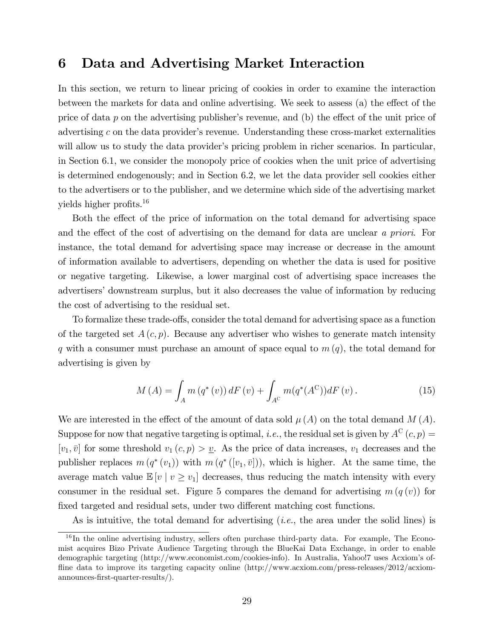## 6 Data and Advertising Market Interaction

In this section, we return to linear pricing of cookies in order to examine the interaction between the markets for data and online advertising. We seek to assess  $(a)$  the effect of the price of data p on the advertising publisher's revenue, and (b) the effect of the unit price of advertising  $c$  on the data provider's revenue. Understanding these cross-market externalities will allow us to study the data provider's pricing problem in richer scenarios. In particular, in Section 6.1, we consider the monopoly price of cookies when the unit price of advertising is determined endogenously; and in Section 6.2, we let the data provider sell cookies either to the advertisers or to the publisher, and we determine which side of the advertising market yields higher profits. $16$ 

Both the effect of the price of information on the total demand for advertising space and the effect of the cost of advertising on the demand for data are unclear a priori. For instance, the total demand for advertising space may increase or decrease in the amount of information available to advertisers, depending on whether the data is used for positive or negative targeting. Likewise, a lower marginal cost of advertising space increases the advertisers' downstream surplus, but it also decreases the value of information by reducing the cost of advertising to the residual set.

To formalize these trade-offs, consider the total demand for advertising space as a function of the targeted set  $A(c, p)$ . Because any advertiser who wishes to generate match intensity q with a consumer must purchase an amount of space equal to  $m(q)$ , the total demand for advertising is given by

$$
M(A) = \int_{A} m(q^*(v)) dF(v) + \int_{A^C} m(q^*(A^C)) dF(v).
$$
 (15)

We are interested in the effect of the amount of data sold  $\mu(A)$  on the total demand  $M(A)$ . Suppose for now that negative targeting is optimal, *i.e.*, the residual set is given by  $A^C(c, p) =$  $[v_1, \overline{v}]$  for some threshold  $v_1(c, p) > v$ . As the price of data increases,  $v_1$  decreases and the publisher replaces  $m(q^*(v_1))$  with  $m(q^*([v_1,\bar{v}]))$ , which is higher. At the same time, the average match value  $\mathbb{E}[v \mid v \geq v_1]$  decreases, thus reducing the match intensity with every consumer in the residual set. Figure 5 compares the demand for advertising  $m(q(v))$  for fixed targeted and residual sets, under two different matching cost functions.

As is intuitive, the total demand for advertising (i.e., the area under the solid lines) is

 $16$  In the online advertising industry, sellers often purchase third-party data. For example, The Economist acquires Bizo Private Audience Targeting through the BlueKai Data Exchange, in order to enable demographic targeting (http://www.economist.com/cookies-info). In Australia, Yahoo!7 uses Acxiom's offline data to improve its targeting capacity online (http://www.acxiom.com/press-releases/2012/acxiomannounces-Örst-quarter-results/).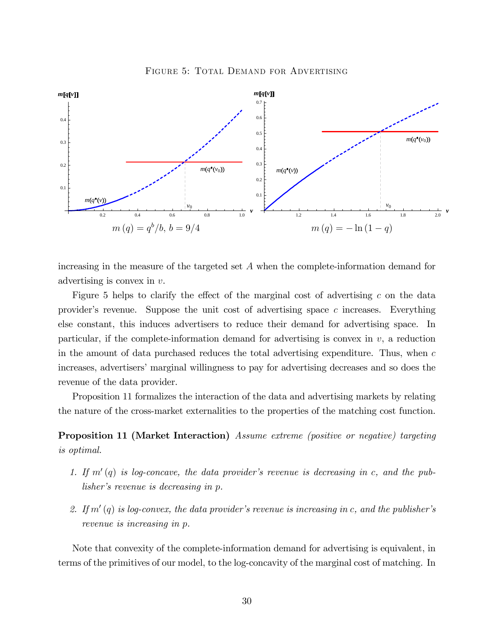



increasing in the measure of the targeted set A when the complete-information demand for advertising is convex in v.

Figure 5 helps to clarify the effect of the marginal cost of advertising c on the data provider's revenue. Suppose the unit cost of advertising space  $c$  increases. Everything else constant, this induces advertisers to reduce their demand for advertising space. In particular, if the complete-information demand for advertising is convex in  $v$ , a reduction in the amount of data purchased reduces the total advertising expenditure. Thus, when  $c$ increases, advertisers' marginal willingness to pay for advertising decreases and so does the revenue of the data provider.

Proposition 11 formalizes the interaction of the data and advertising markets by relating the nature of the cross-market externalities to the properties of the matching cost function.

## Proposition 11 (Market Interaction) Assume extreme (positive or negative) targeting is optimal.

- 1. If  $m'(q)$  is log-concave, the data provider's revenue is decreasing in c, and the publisher's revenue is decreasing in p.
- 2. If  $m'(q)$  is log-convex, the data provider's revenue is increasing in c, and the publisher's revenue is increasing in p.

Note that convexity of the complete-information demand for advertising is equivalent, in terms of the primitives of our model, to the log-concavity of the marginal cost of matching. In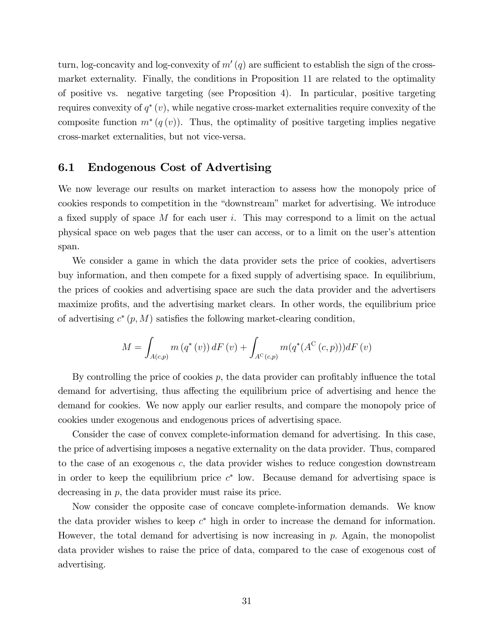turn, log-concavity and log-convexity of  $m'(q)$  are sufficient to establish the sign of the crossmarket externality. Finally, the conditions in Proposition 11 are related to the optimality of positive vs. negative targeting (see Proposition 4). In particular, positive targeting requires convexity of  $q^*(v)$ , while negative cross-market externalities require convexity of the composite function  $m^*(q(v))$ . Thus, the optimality of positive targeting implies negative cross-market externalities, but not vice-versa.

## 6.1 Endogenous Cost of Advertising

We now leverage our results on market interaction to assess how the monopoly price of cookies responds to competition in the "downstream" market for advertising. We introduce a fixed supply of space M for each user i. This may correspond to a limit on the actual physical space on web pages that the user can access, or to a limit on the user's attention span.

We consider a game in which the data provider sets the price of cookies, advertisers buy information, and then compete for a fixed supply of advertising space. In equilibrium, the prices of cookies and advertising space are such the data provider and the advertisers maximize profits, and the advertising market clears. In other words, the equilibrium price of advertising  $c^*(p,M)$  satisfies the following market-clearing condition,

$$
M = \int_{A(c,p)} m(q^*(v)) dF(v) + \int_{A^C(c,p)} m(q^*(A^C(c,p))) dF(v)
$$

By controlling the price of cookies  $p$ , the data provider can profitably influence the total demand for advertising, thus affecting the equilibrium price of advertising and hence the demand for cookies. We now apply our earlier results, and compare the monopoly price of cookies under exogenous and endogenous prices of advertising space.

Consider the case of convex complete-information demand for advertising. In this case, the price of advertising imposes a negative externality on the data provider. Thus, compared to the case of an exogenous c, the data provider wishes to reduce congestion downstream in order to keep the equilibrium price  $c^*$  low. Because demand for advertising space is decreasing in p, the data provider must raise its price.

Now consider the opposite case of concave complete-information demands. We know the data provider wishes to keep  $c^*$  high in order to increase the demand for information. However, the total demand for advertising is now increasing in  $p$ . Again, the monopolist data provider wishes to raise the price of data, compared to the case of exogenous cost of advertising.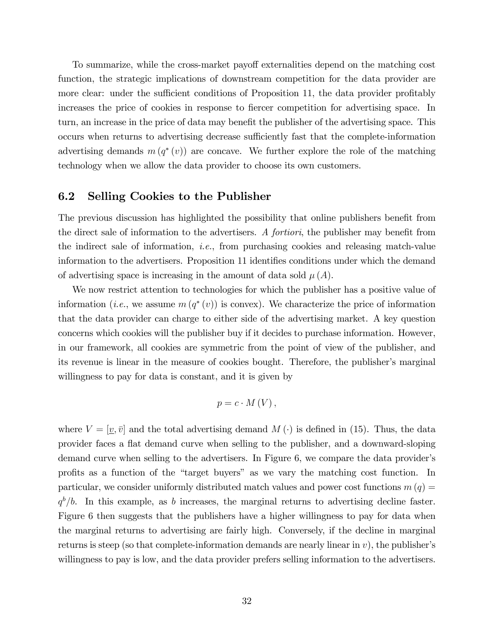To summarize, while the cross-market payoff externalities depend on the matching cost function, the strategic implications of downstream competition for the data provider are more clear: under the sufficient conditions of Proposition 11, the data provider profitably increases the price of cookies in response to fiercer competition for advertising space. In turn, an increase in the price of data may benefit the publisher of the advertising space. This occurs when returns to advertising decrease sufficiently fast that the complete-information advertising demands  $m(q^*(v))$  are concave. We further explore the role of the matching technology when we allow the data provider to choose its own customers.

### 6.2 Selling Cookies to the Publisher

The previous discussion has highlighted the possibility that online publishers benefit from the direct sale of information to the advertisers. A *fortiori*, the publisher may benefit from the indirect sale of information, *i.e.*, from purchasing cookies and releasing match-value information to the advertisers. Proposition 11 identifies conditions under which the demand of advertising space is increasing in the amount of data sold  $\mu(A)$ .

We now restrict attention to technologies for which the publisher has a positive value of information (*i.e.*, we assume  $m(q^*(v))$  is convex). We characterize the price of information that the data provider can charge to either side of the advertising market. A key question concerns which cookies will the publisher buy if it decides to purchase information. However, in our framework, all cookies are symmetric from the point of view of the publisher, and its revenue is linear in the measure of cookies bought. Therefore, the publisher's marginal willingness to pay for data is constant, and it is given by

$$
p=c\cdot M(V)\,,
$$

where  $V = [\underline{v}, \overline{v}]$  and the total advertising demand  $M(\cdot)$  is defined in (15). Thus, the data provider faces a áat demand curve when selling to the publisher, and a downward-sloping demand curve when selling to the advertisers. In Figure 6, we compare the data provider's profits as a function of the "target buyers" as we vary the matching cost function. In particular, we consider uniformly distributed match values and power cost functions  $m(q) =$  $q^b/b$ . In this example, as b increases, the marginal returns to advertising decline faster. Figure 6 then suggests that the publishers have a higher willingness to pay for data when the marginal returns to advertising are fairly high. Conversely, if the decline in marginal returns is steep (so that complete-information demands are nearly linear in  $v$ ), the publisher's willingness to pay is low, and the data provider prefers selling information to the advertisers.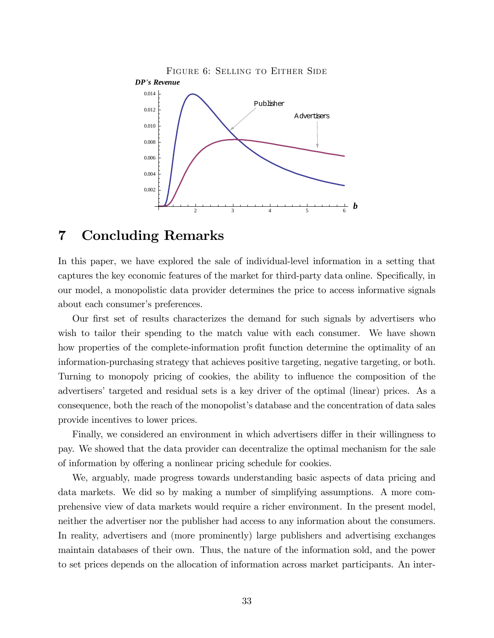

## 7 Concluding Remarks

In this paper, we have explored the sale of individual-level information in a setting that captures the key economic features of the market for third-party data online. Specifically, in our model, a monopolistic data provider determines the price to access informative signals about each consumer's preferences.

Our first set of results characterizes the demand for such signals by advertisers who wish to tailor their spending to the match value with each consumer. We have shown how properties of the complete-information profit function determine the optimality of an information-purchasing strategy that achieves positive targeting, negative targeting, or both. Turning to monopoly pricing of cookies, the ability to influence the composition of the advertisersí targeted and residual sets is a key driver of the optimal (linear) prices. As a consequence, both the reach of the monopolist's database and the concentration of data sales provide incentives to lower prices.

Finally, we considered an environment in which advertisers differ in their willingness to pay. We showed that the data provider can decentralize the optimal mechanism for the sale of information by offering a nonlinear pricing schedule for cookies.

We, arguably, made progress towards understanding basic aspects of data pricing and data markets. We did so by making a number of simplifying assumptions. A more comprehensive view of data markets would require a richer environment. In the present model, neither the advertiser nor the publisher had access to any information about the consumers. In reality, advertisers and (more prominently) large publishers and advertising exchanges maintain databases of their own. Thus, the nature of the information sold, and the power to set prices depends on the allocation of information across market participants. An inter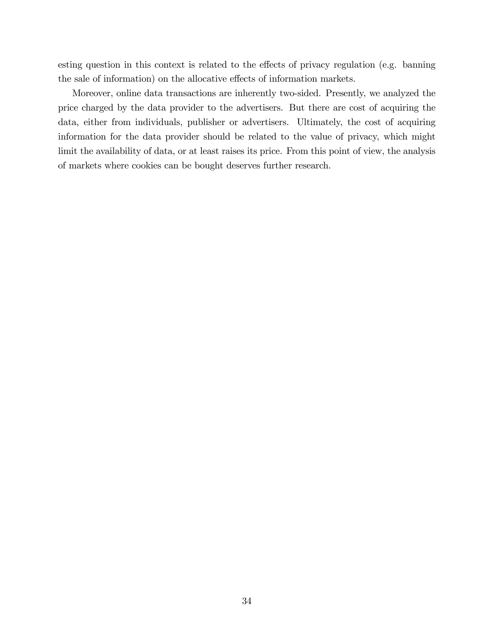esting question in this context is related to the effects of privacy regulation (e.g. banning the sale of information) on the allocative effects of information markets.

Moreover, online data transactions are inherently two-sided. Presently, we analyzed the price charged by the data provider to the advertisers. But there are cost of acquiring the data, either from individuals, publisher or advertisers. Ultimately, the cost of acquiring information for the data provider should be related to the value of privacy, which might limit the availability of data, or at least raises its price. From this point of view, the analysis of markets where cookies can be bought deserves further research.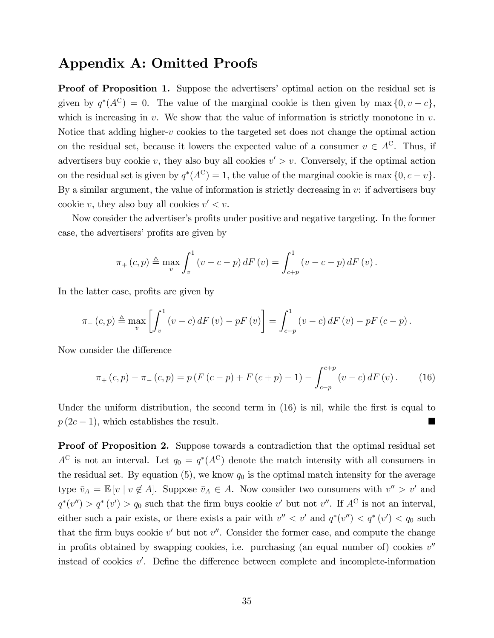## Appendix A: Omitted Proofs

**Proof of Proposition 1.** Suppose the advertisers' optimal action on the residual set is given by  $q^*(A^C) = 0$ . The value of the marginal cookie is then given by max  $\{0, v - c\}$ , which is increasing in  $v$ . We show that the value of information is strictly monotone in  $v$ . Notice that adding higher-v cookies to the targeted set does not change the optimal action on the residual set, because it lowers the expected value of a consumer  $v \in A^C$ . Thus, if advertisers buy cookie v, they also buy all cookies  $v' > v$ . Conversely, if the optimal action on the residual set is given by  $q^*(A^C) = 1$ , the value of the marginal cookie is max  $\{0, c - v\}$ . By a similar argument, the value of information is strictly decreasing in  $v$ : if advertisers buy cookie v, they also buy all cookies  $v' < v$ .

Now consider the advertiser's profits under positive and negative targeting. In the former case, the advertisers' profits are given by

$$
\pi_{+}(c,p) \triangleq \max_{v} \int_{v}^{1} (v - c - p) dF(v) = \int_{c+p}^{1} (v - c - p) dF(v).
$$

In the latter case, profits are given by

$$
\pi_{-}(c,p) \triangleq \max_{v} \left[ \int_{v}^{1} (v - c) dF(v) - pF(v) \right] = \int_{c-p}^{1} (v - c) dF(v) - pF(c-p).
$$

Now consider the difference

$$
\pi_{+}(c,p) - \pi_{-}(c,p) = p(F(c-p) + F(c+p) - 1) - \int_{c-p}^{c+p} (v-c) dF(v).
$$
 (16)

Under the uniform distribution, the second term in  $(16)$  is nil, while the first is equal to  $p(2c-1)$ , which establishes the result.

Proof of Proposition 2. Suppose towards a contradiction that the optimal residual set  $A^C$  is not an interval. Let  $q_0 = q^*(A^C)$  denote the match intensity with all consumers in the residual set. By equation  $(5)$ , we know  $q_0$  is the optimal match intensity for the average type  $\bar{v}_A = \mathbb{E}[v \mid v \notin A]$ . Suppose  $\bar{v}_A \in A$ . Now consider two consumers with  $v'' > v'$  and  $q^*(v'') > q^*(v') > q_0$  such that the firm buys cookie v' but not v''. If  $A^C$  is not an interval, either such a pair exists, or there exists a pair with  $v'' < v'$  and  $q^*(v'') < q^*(v') < q_0$  such that the firm buys cookie  $v'$  but not  $v''$ . Consider the former case, and compute the change in profits obtained by swapping cookies, i.e. purchasing (an equal number of) cookies  $v''$ instead of cookies  $v'$ . Define the difference between complete and incomplete-information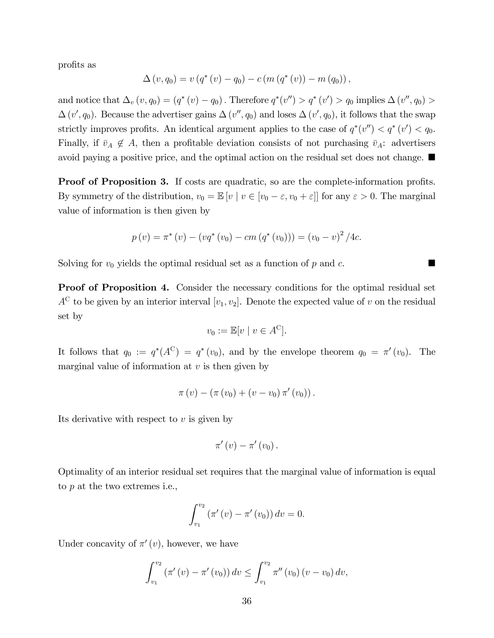profits as

$$
\Delta(v, q_0) = v (q^*(v) - q_0) - c (m (q^*(v)) - m (q_0)),
$$

and notice that  $\Delta_v (v, q_0) = (q^* (v) - q_0)$ . Therefore  $q^* (v'') > q^* (v') > q_0$  implies  $\Delta(v'', q_0) >$  $\Delta(v', q_0)$ . Because the advertiser gains  $\Delta(v'', q_0)$  and loses  $\Delta(v', q_0)$ , it follows that the swap strictly improves profits. An identical argument applies to the case of  $q^*(v'') < q^*(v') < q_0$ . Finally, if  $\bar{v}_A \notin A$ , then a profitable deviation consists of not purchasing  $\bar{v}_A$ : advertisers avoid paying a positive price, and the optimal action on the residual set does not change.

**Proof of Proposition 3.** If costs are quadratic, so are the complete-information profits. By symmetry of the distribution,  $v_0 = \mathbb{E}[v \mid v \in [v_0 - \varepsilon, v_0 + \varepsilon]]$  for any  $\varepsilon > 0$ . The marginal value of information is then given by

$$
p(v) = \pi^*(v) - (vq^*(v_0) - cm (q^*(v_0))) = (v_0 - v)^2 / 4c.
$$

Solving for  $v_0$  yields the optimal residual set as a function of p and c.

Proof of Proposition 4. Consider the necessary conditions for the optimal residual set  $A^C$  to be given by an interior interval  $[v_1, v_2]$ . Denote the expected value of v on the residual set by

$$
v_0 := \mathbb{E}[v \mid v \in A^C].
$$

It follows that  $q_0 := q^*(A^C) = q^*(v_0)$ , and by the envelope theorem  $q_0 = \pi'(v_0)$ . The marginal value of information at  $v$  is then given by

$$
\pi(v) - (\pi(v_0) + (v - v_0)\pi'(v_0)).
$$

Its derivative with respect to  $v$  is given by

$$
\pi'(v)-\pi'(v_0)\,.
$$

Optimality of an interior residual set requires that the marginal value of information is equal to p at the two extremes i.e.,

$$
\int_{v_1}^{v_2} (\pi'(v) - \pi'(v_0)) dv = 0.
$$

Under concavity of  $\pi'(v)$ , however, we have

$$
\int_{v_1}^{v_2} (\pi'(v) - \pi'(v_0)) dv \le \int_{v_1}^{v_2} \pi''(v_0) (v - v_0) dv,
$$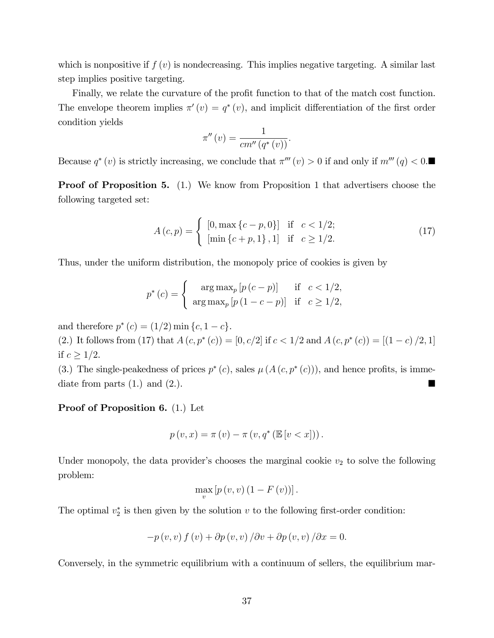which is nonpositive if  $f(v)$  is nondecreasing. This implies negative targeting. A similar last step implies positive targeting.

Finally, we relate the curvature of the profit function to that of the match cost function. The envelope theorem implies  $\pi'(v) = q^*(v)$ , and implicit differentiation of the first order condition yields

$$
\pi''(v) = \frac{1}{cm''(q^*(v))}.
$$

Because  $q^*(v)$  is strictly increasing, we conclude that  $\pi'''(v) > 0$  if and only if  $m'''(q) < 0$ .

Proof of Proposition 5. (1.) We know from Proposition 1 that advertisers choose the following targeted set:

$$
A(c,p) = \begin{cases} [0, \max\{c-p, 0\}] & \text{if } c < 1/2; \\ [\min\{c+p, 1\}, 1] & \text{if } c \ge 1/2. \end{cases}
$$
(17)

Thus, under the uniform distribution, the monopoly price of cookies is given by

$$
p^*(c) = \begin{cases} \arg \max_p [p(c-p)] & \text{if } c < 1/2, \\ \arg \max_p [p(1-c-p)] & \text{if } c \ge 1/2, \end{cases}
$$

and therefore  $p^*(c) = (1/2) \min\{c, 1-c\}.$ 

(2.) It follows from (17) that  $A(c, p^*(c)) = [0, c/2]$  if  $c < 1/2$  and  $A(c, p^*(c)) = [(1 - c)/2, 1]$ if  $c \geq 1/2$ .

(3.) The single-peakedness of prices  $p^*(c)$ , sales  $\mu(A(c, p^*(c)))$ , and hence profits, is immediate from parts  $(1.)$  and  $(2.).$ 

#### Proof of Proposition 6. (1.) Let

$$
p(v, x) = \pi(v) - \pi(v, q^*(\mathbb{E}[v < x]))
$$

Under monopoly, the data provider's chooses the marginal cookie  $v_2$  to solve the following problem:

$$
\max_{v}\left[p\left(v,v\right)\left(1-F\left(v\right)\right)\right].
$$

The optimal  $v_2^*$  is then given by the solution v to the following first-order condition:

$$
-p(v, v) f(v) + \partial p(v, v) / \partial v + \partial p(v, v) / \partial x = 0.
$$

Conversely, in the symmetric equilibrium with a continuum of sellers, the equilibrium mar-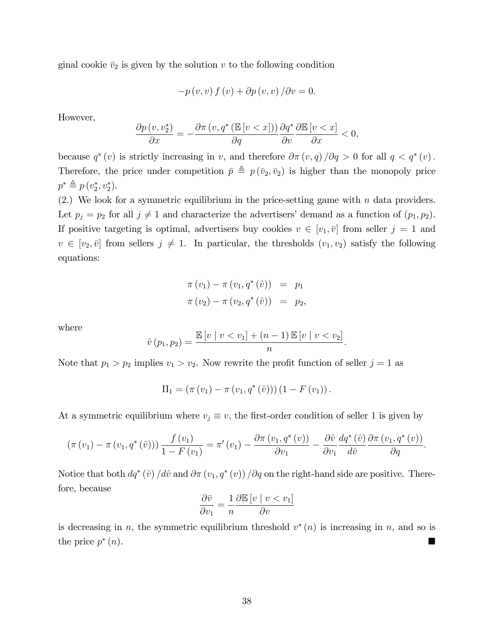ginal cookie  $\bar{v}_2$  is given by the solution v to the following condition

$$
-p(v, v) f(v) + \partial p(v, v) / \partial v = 0.
$$

However,

$$
\frac{\partial p(v, v_2^*)}{\partial x} = -\frac{\partial \pi(v, q^* \left(\mathbb{E}\left[v < x\right]\right))}{\partial q} \frac{\partial q^*}{\partial v} \frac{\partial \mathbb{E}\left[v < x\right]}{\partial x} < 0,
$$

because  $q^*(v)$  is strictly increasing in v, and therefore  $\partial \pi(v,q)/\partial q > 0$  for all  $q < q^*(v)$ . Therefore, the price under competition  $\bar{p} \triangleq p(\bar{v}_2, \bar{v}_2)$  is higher than the monopoly price  $p^* \triangleq p(v_2^*, v_2^*).$ 

(2.) We look for a symmetric equilibrium in the price-setting game with  $n$  data providers. Let  $p_j = p_2$  for all  $j \neq 1$  and characterize the advertisers' demand as a function of  $(p_1, p_2)$ . If positive targeting is optimal, advertisers buy cookies  $v \in [v_1, \bar{v}]$  from seller  $j = 1$  and  $v \in [v_2, \bar{v}]$  from sellers  $j \neq 1$ . In particular, the thresholds  $(v_1, v_2)$  satisfy the following equations:

$$
\pi(v_1) - \pi(v_1, q^*(\hat{v})) = p_1 \n\pi(v_2) - \pi(v_2, q^*(\hat{v})) = p_2,
$$

where

$$
\hat{v}(p_1, p_2) = \frac{\mathbb{E}[v \mid v < v_1] + (n-1) \mathbb{E}[v \mid v < v_2]}{n}.
$$

Note that  $p_1 > p_2$  implies  $v_1 > v_2$ . Now rewrite the profit function of seller  $j = 1$  as

$$
\Pi_1 = (\pi(v_1) - \pi(v_1, q^*(\hat{v}))) (1 - F(v_1)).
$$

At a symmetric equilibrium where  $v_j \equiv v$ , the first-order condition of seller 1 is given by

$$
\left(\pi(v_1)-\pi(v_1,q^*(\hat{v}))\right)\frac{f(v_1)}{1-F(v_1)}=\pi'(v_1)-\frac{\partial\pi(v_1,q^*(v))}{\partial v_1}-\frac{\partial\hat{v}}{\partial v_1}\frac{dq^*(\hat{v})}{d\hat{v}}\frac{\partial\pi(v_1,q^*(v))}{\partial q}.
$$

Notice that both  $dq^*(\hat{v}) / d\hat{v}$  and  $\partial \pi (v_1, q^*(v)) / \partial q$  on the right-hand side are positive. Therefore, because

$$
\frac{\partial \bar{v}}{\partial v_1} = \frac{1}{n} \frac{\partial \mathbb{E}[v \mid v < v_1]}{\partial v}
$$

is decreasing in n, the symmetric equilibrium threshold  $v^*(n)$  is increasing in n, and so is the price  $p^*$ (n).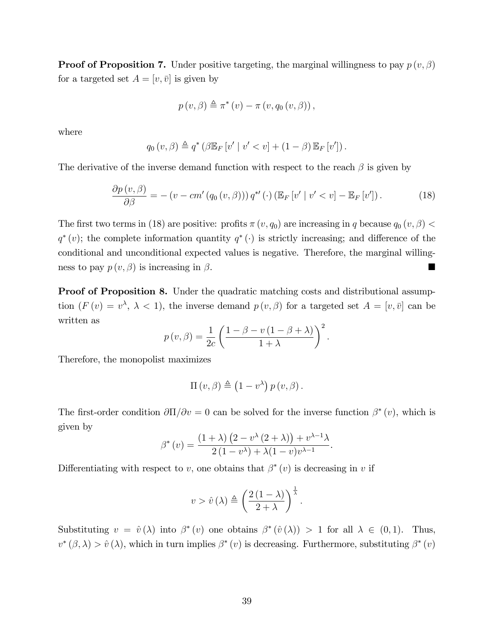**Proof of Proposition 7.** Under positive targeting, the marginal willingness to pay  $p(v, \beta)$ for a targeted set  $A = [v, \bar{v}]$  is given by

$$
p(v, \beta) \triangleq \pi^*(v) - \pi(v, q_0(v, \beta)),
$$

where

$$
q_0(v,\beta) \triangleq q^* \left(\beta \mathbb{E}_F[v' \mid v' < v] + (1-\beta) \mathbb{E}_F[v']\right).
$$

The derivative of the inverse demand function with respect to the reach  $\beta$  is given by

$$
\frac{\partial p(v,\beta)}{\partial \beta} = -\left(v - cm'(q_0(v,\beta))\right) q^{*'}(\cdot) \left(\mathbb{E}_F\left[v'\mid v' < v\right] - \mathbb{E}_F\left[v'\right]\right). \tag{18}
$$

The first two terms in (18) are positive: profits  $\pi(v, q_0)$  are increasing in q because  $q_0(v, \beta)$  <  $q^*(v)$ ; the complete information quantity  $q^*(\cdot)$  is strictly increasing; and difference of the conditional and unconditional expected values is negative. Therefore, the marginal willingness to pay  $p(v, \beta)$  is increasing in  $\beta$ .

Proof of Proposition 8. Under the quadratic matching costs and distributional assumption  $(F(v) = v^{\lambda}, \lambda < 1)$ , the inverse demand  $p(v, \beta)$  for a targeted set  $A = [v, \overline{v}]$  can be written as

$$
p(v, \beta) = \frac{1}{2c} \left( \frac{1 - \beta - v(1 - \beta + \lambda)}{1 + \lambda} \right)^2.
$$

Therefore, the monopolist maximizes

$$
\Pi(v,\beta) \triangleq (1-v^{\lambda}) p(v,\beta).
$$

The first-order condition  $\partial\Pi/\partial v = 0$  can be solved for the inverse function  $\beta^*(v)$ , which is given by

$$
\beta^*(v) = \frac{(1+\lambda)\left(2 - v^\lambda(2+\lambda)\right) + v^{\lambda-1}\lambda}{2(1-v^\lambda) + \lambda(1-v)v^{\lambda-1}}.
$$

Differentiating with respect to v, one obtains that  $\beta^*(v)$  is decreasing in v if

$$
v > \hat{v}(\lambda) \triangleq \left(\frac{2(1-\lambda)}{2+\lambda}\right)^{\frac{1}{\lambda}}.
$$

Substituting  $v = \hat{v}(\lambda)$  into  $\beta^*(v)$  one obtains  $\beta^*(\hat{v}(\lambda)) > 1$  for all  $\lambda \in (0,1)$ . Thus,  $v^*(\beta,\lambda) > \hat{v}(\lambda)$ , which in turn implies  $\beta^*(v)$  is decreasing. Furthermore, substituting  $\beta^*(v)$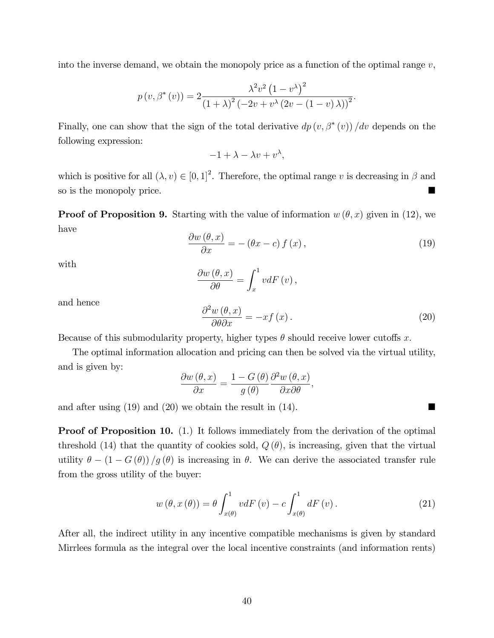into the inverse demand, we obtain the monopoly price as a function of the optimal range  $v$ ,

$$
p(v, \beta^{*}(v)) = 2 \frac{\lambda^{2} v^{2} (1 - v^{\lambda})^{2}}{(1 + \lambda)^{2} (-2v + v^{\lambda} (2v - (1 - v) \lambda))^{2}}.
$$

Finally, one can show that the sign of the total derivative  $dp(v, \beta^*(v))/dv$  depends on the following expression:

$$
-1 + \lambda - \lambda v + v^{\lambda},
$$

which is positive for all  $(\lambda, v) \in [0, 1]^2$ . Therefore, the optimal range v is decreasing in  $\beta$  and so is the monopoly price.

**Proof of Proposition 9.** Starting with the value of information  $w(\theta, x)$  given in (12), we have

$$
\frac{\partial w(\theta, x)}{\partial x} = -(\theta x - c) f(x),\tag{19}
$$

with

$$
\frac{\partial w(\theta, x)}{\partial \theta} = \int_{x}^{1} v dF(v),
$$

and hence

$$
\frac{\partial^2 w(\theta, x)}{\partial \theta \partial x} = -xf(x).
$$
 (20)

Because of this submodularity property, higher types  $\theta$  should receive lower cutoffs x.

The optimal information allocation and pricing can then be solved via the virtual utility, and is given by:

$$
\frac{\partial w(\theta, x)}{\partial x} = \frac{1 - G(\theta)}{g(\theta)} \frac{\partial^2 w(\theta, x)}{\partial x \partial \theta},
$$

and after using (19) and (20) we obtain the result in (14).

**Proof of Proposition 10.** (1.) It follows immediately from the derivation of the optimal threshold (14) that the quantity of cookies sold,  $Q(\theta)$ , is increasing, given that the virtual utility  $\theta - (1 - G(\theta))/g(\theta)$  is increasing in  $\theta$ . We can derive the associated transfer rule from the gross utility of the buyer:

$$
w(\theta, x(\theta)) = \theta \int_{x(\theta)}^{1} v dF(v) - c \int_{x(\theta)}^{1} dF(v).
$$
 (21)

After all, the indirect utility in any incentive compatible mechanisms is given by standard Mirrlees formula as the integral over the local incentive constraints (and information rents)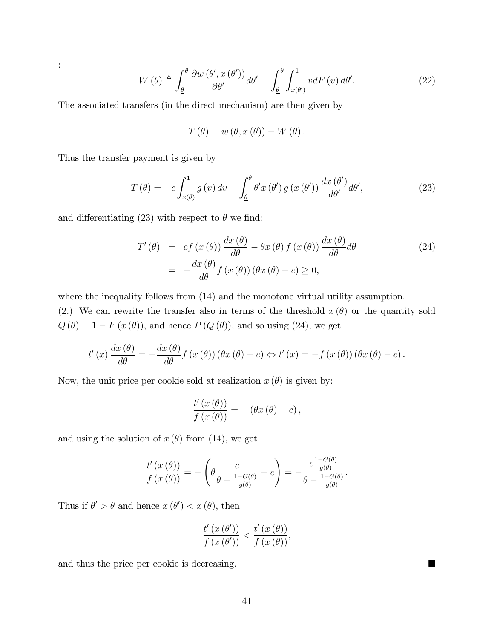$$
W(\theta) \triangleq \int_{\underline{\theta}}^{\theta} \frac{\partial w(\theta', x(\theta'))}{\partial \theta'} d\theta' = \int_{\underline{\theta}}^{\theta} \int_{x(\theta')}^{1} v dF(v) d\theta'. \tag{22}
$$

The associated transfers (in the direct mechanism) are then given by

$$
T(\theta) = w(\theta, x(\theta)) - W(\theta).
$$

Thus the transfer payment is given by

:

$$
T(\theta) = -c \int_{x(\theta)}^1 g(v) dv - \int_{\underline{\theta}}^{\theta} \theta' x(\theta') g(x(\theta')) \frac{dx(\theta')}{d\theta'} d\theta',
$$
\n(23)

and differentiating (23) with respect to  $\theta$  we find:

$$
T'(\theta) = cf(x(\theta)) \frac{dx(\theta)}{d\theta} - \theta x(\theta) f(x(\theta)) \frac{dx(\theta)}{d\theta} d\theta
$$
  
= 
$$
-\frac{dx(\theta)}{d\theta} f(x(\theta)) (\theta x(\theta) - c) \ge 0,
$$
 (24)

where the inequality follows from  $(14)$  and the monotone virtual utility assumption. (2.) We can rewrite the transfer also in terms of the threshold  $x(\theta)$  or the quantity sold  $Q(\theta) = 1 - F(x(\theta))$ , and hence  $P(Q(\theta))$ , and so using (24), we get

$$
t'(x)\frac{dx(\theta)}{d\theta} = -\frac{dx(\theta)}{d\theta}f(x(\theta))(\theta x(\theta) - c) \Leftrightarrow t'(x) = -f(x(\theta))(\theta x(\theta) - c).
$$

Now, the unit price per cookie sold at realization  $x(\theta)$  is given by:

$$
\frac{t'(x(\theta))}{f(x(\theta))} = -(\theta x(\theta) - c),
$$

and using the solution of  $x(\theta)$  from (14), we get

$$
\frac{t'(x(\theta))}{f(x(\theta))} = -\left(\theta \frac{c}{\theta - \frac{1 - G(\theta)}{g(\theta)}} - c\right) = -\frac{c \frac{1 - G(\theta)}{g(\theta)}}{\theta - \frac{1 - G(\theta)}{g(\theta)}}.
$$

Thus if  $\theta' > \theta$  and hence  $x(\theta') < x(\theta)$ , then

$$
\frac{t'\left(x\left(\theta'\right)\right)}{f\left(x\left(\theta'\right)\right)} < \frac{t'\left(x\left(\theta\right)\right)}{f\left(x\left(\theta\right)\right)},
$$

and thus the price per cookie is decreasing.

41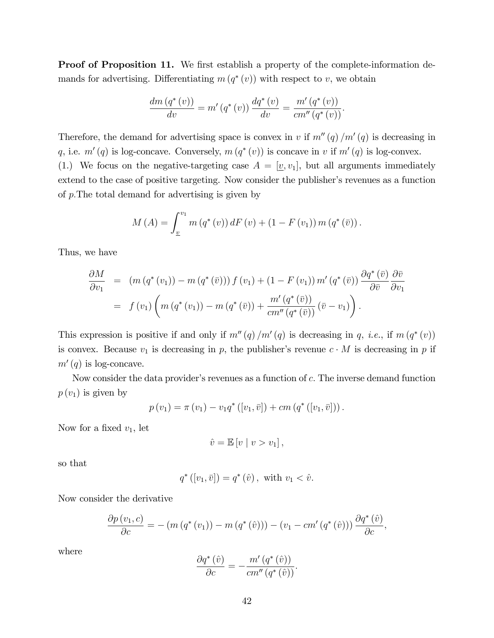**Proof of Proposition 11.** We first establish a property of the complete-information demands for advertising. Differentiating  $m(q^*(v))$  with respect to v, we obtain

$$
\frac{dm (q^*(v))}{dv} = m' (q^*(v)) \frac{dq^*(v)}{dv} = \frac{m' (q^*(v))}{cm'' (q^*(v))}.
$$

Therefore, the demand for advertising space is convex in v if  $m''(q)/m'(q)$  is decreasing in q, i.e.  $m'(q)$  is log-concave. Conversely,  $m(q^*(v))$  is concave in v if  $m'(q)$  is log-convex. (1.) We focus on the negative-targeting case  $A = [\underline{v}, v_1]$ , but all arguments immediately extend to the case of positive targeting. Now consider the publisher's revenues as a function of  $p$ . The total demand for advertising is given by

$$
M(A) = \int_{\underline{v}}^{v_1} m(q^*(v)) dF(v) + (1 - F(v_1)) m(q^*(\bar{v})).
$$

Thus, we have

$$
\frac{\partial M}{\partial v_1} = (m (q^* (v_1)) - m (q^* (\bar{v}))) f (v_1) + (1 - F (v_1)) m' (q^* (\bar{v})) \frac{\partial q^* (\bar{v})}{\partial \bar{v}} \frac{\partial \bar{v}}{\partial v_1}
$$
  
=  $f (v_1) \left( m (q^* (v_1)) - m (q^* (\bar{v})) + \frac{m' (q^* (\bar{v}))}{cm'' (q^* (\bar{v}))} (\bar{v} - v_1) \right).$ 

This expression is positive if and only if  $m''(q)/m'(q)$  is decreasing in q, *i.e.*, if  $m(q^*(v))$ is convex. Because  $v_1$  is decreasing in p, the publisher's revenue  $c \cdot M$  is decreasing in p if  $m'(q)$  is log-concave.

Now consider the data provider's revenues as a function of  $c$ . The inverse demand function  $p(v_1)$  is given by

$$
p(v_1) = \pi(v_1) - v_1 q^* ([v_1, \bar{v}]) + cm (q^* ([v_1, \bar{v}])).
$$

Now for a fixed  $v_1$ , let

$$
\hat{v} = \mathbb{E}\left[v \mid v > v_1\right],
$$

so that

$$
q^*([v_1, \bar{v}]) = q^*(\hat{v}), \text{ with } v_1 < \hat{v}.
$$

Now consider the derivative

$$
\frac{\partial p(v_1, c)}{\partial c} = -(m(q^*(v_1)) - m(q^*(\hat{v}))) - (v_1 - cm'(q^*(\hat{v}))) \frac{\partial q^*(\hat{v})}{\partial c},
$$

where

$$
\frac{\partial q^*(\hat{v})}{\partial c} = -\frac{m'\left(q^*(\hat{v})\right)}{cm''\left(q^*(\hat{v})\right)}.
$$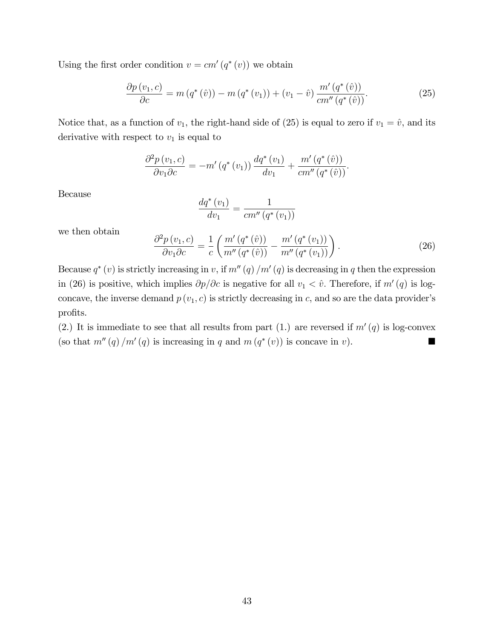Using the first order condition  $v = cm'(q^*(v))$  we obtain

$$
\frac{\partial p(v_1, c)}{\partial c} = m(q^*(\hat{v})) - m(q^*(v_1)) + (v_1 - \hat{v}) \frac{m'(q^*(\hat{v}))}{cm''(q^*(\hat{v}))}.
$$
\n(25)

Notice that, as a function of  $v_1$ , the right-hand side of (25) is equal to zero if  $v_1 = \hat{v}$ , and its derivative with respect to  $v_1$  is equal to

$$
\frac{\partial^2 p(v_1, c)}{\partial v_1 \partial c} = -m'(q^*(v_1)) \frac{dq^*(v_1)}{dv_1} + \frac{m'(q^*(\hat{v}))}{cm''(q^*(\hat{v}))}.
$$

Because

$$
\frac{dq^*(v_1)}{dv_1} = \frac{1}{cm''(q^*(v_1))}
$$

we then obtain

$$
\frac{\partial^2 p(v_1, c)}{\partial v_1 \partial c} = \frac{1}{c} \left( \frac{m'(q^*(i))}{m''(q^*(i))} - \frac{m'(q^*(v_1))}{m''(q^*(v_1))} \right). \tag{26}
$$

Because  $q^*(v)$  is strictly increasing in v, if  $m''(q)/m'(q)$  is decreasing in q then the expression in (26) is positive, which implies  $\partial p/\partial c$  is negative for all  $v_1 < \hat{v}$ . Therefore, if  $m'(q)$  is logconcave, the inverse demand  $p(v_1, c)$  is strictly decreasing in c, and so are the data provider's profits.

(2.) It is immediate to see that all results from part (1.) are reversed if  $m'(q)$  is log-convex (so that  $m''(q)/m'(q)$  is increasing in q and  $m(q^*(v))$  is concave in v).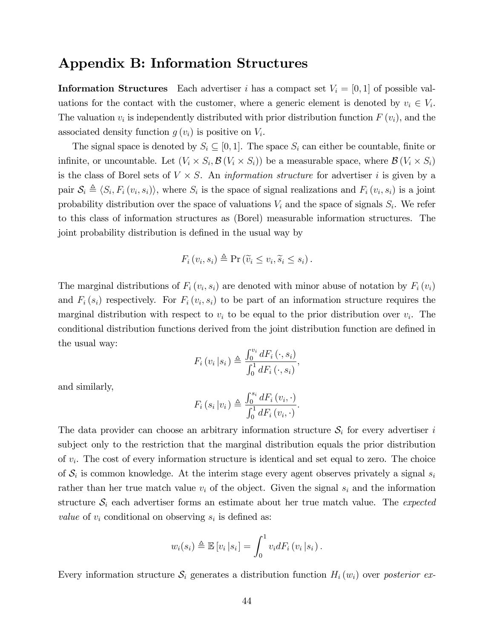## Appendix B: Information Structures

**Information Structures** Each advertiser i has a compact set  $V_i = [0, 1]$  of possible valuations for the contact with the customer, where a generic element is denoted by  $v_i \in V_i$ . The valuation  $v_i$  is independently distributed with prior distribution function  $F(v_i)$ , and the associated density function  $g(v_i)$  is positive on  $V_i$ .

The signal space is denoted by  $S_i \subseteq [0,1]$ . The space  $S_i$  can either be countable, finite or infinite, or uncountable. Let  $(V_i \times S_i, \mathcal{B}(V_i \times S_i))$  be a measurable space, where  $\mathcal{B}(V_i \times S_i)$ is the class of Borel sets of  $V \times S$ . An *information structure* for advertiser *i* is given by a pair  $S_i \triangleq \langle S_i, F_i(v_i, s_i) \rangle$ , where  $S_i$  is the space of signal realizations and  $F_i(v_i, s_i)$  is a joint probability distribution over the space of valuations  $V_i$  and the space of signals  $S_i$ . We refer to this class of information structures as (Borel) measurable information structures. The joint probability distribution is defined in the usual way by

$$
F_i(v_i, s_i) \triangleq \Pr\left(\widetilde{v}_i \leq v_i, \widetilde{s}_i \leq s_i\right).
$$

The marginal distributions of  $F_i(v_i, s_i)$  are denoted with minor abuse of notation by  $F_i(v_i)$ and  $F_i(s_i)$  respectively. For  $F_i(v_i, s_i)$  to be part of an information structure requires the marginal distribution with respect to  $v_i$  to be equal to the prior distribution over  $v_i$ . The conditional distribution functions derived from the joint distribution function are defined in the usual way:

$$
F_i(v_i|s_i) \triangleq \frac{\int_0^{v_i} dF_i(v_i, s_i)}{\int_0^1 dF_i(v_i, s_i)},
$$

and similarly,

$$
F_i(s_i|v_i) \triangleq \frac{\int_0^{s_i} dF_i(v_i, \cdot)}{\int_0^1 dF_i(v_i, \cdot)}.
$$

The data provider can choose an arbitrary information structure  $S_i$  for every advertiser i subject only to the restriction that the marginal distribution equals the prior distribution of  $v_i$ . The cost of every information structure is identical and set equal to zero. The choice of  $S_i$  is common knowledge. At the interim stage every agent observes privately a signal  $s_i$ rather than her true match value  $v_i$  of the object. Given the signal  $s_i$  and the information structure  $S_i$  each advertiser forms an estimate about her true match value. The *expected* value of  $v_i$  conditional on observing  $s_i$  is defined as:

$$
w_i(s_i) \triangleq \mathbb{E}\left[v_i\left|s_i\right.\right] = \int_0^1 v_i dF_i\left(v_i\left|s_i\right.\right).
$$

Every information structure  $S_i$  generates a distribution function  $H_i(w_i)$  over posterior ex-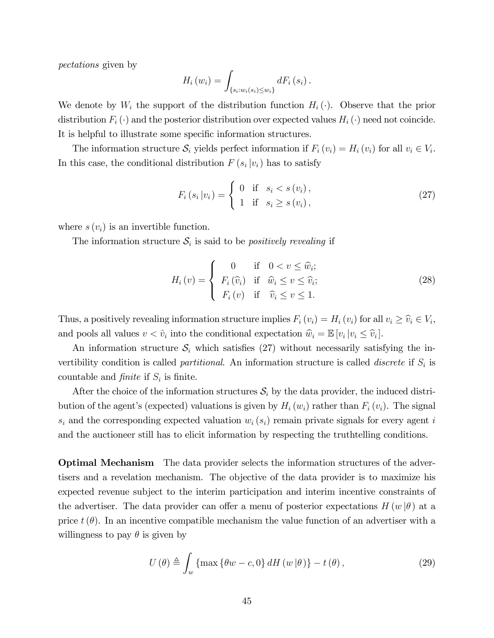pectations given by

$$
H_i(w_i) = \int_{\{s_i:w_i(s_i)\leq w_i\}} dF_i(s_i).
$$

We denote by  $W_i$  the support of the distribution function  $H_i(\cdot)$ . Observe that the prior distribution  $F_i(\cdot)$  and the posterior distribution over expected values  $H_i(\cdot)$  need not coincide. It is helpful to illustrate some specific information structures.

The information structure  $S_i$  yields perfect information if  $F_i(v_i) = H_i(v_i)$  for all  $v_i \in V_i$ . In this case, the conditional distribution  $F(s_i|v_i)$  has to satisfy

$$
F_i(s_i|v_i) = \begin{cases} 0 & \text{if } s_i < s(v_i), \\ 1 & \text{if } s_i \ge s(v_i), \end{cases}
$$
 (27)

where  $s(v_i)$  is an invertible function.

The information structure  $S_i$  is said to be *positively revealing* if

$$
H_i(v) = \begin{cases} 0 & \text{if } 0 < v \leq \hat{w}_i; \\ F_i(\hat{v}_i) & \text{if } \hat{w}_i \leq v \leq \hat{v}_i; \\ F_i(v) & \text{if } \hat{v}_i \leq v \leq 1. \end{cases}
$$
 (28)

Thus, a positively revealing information structure implies  $F_i(v_i) = H_i(v_i)$  for all  $v_i \geq \hat{v}_i \in V_i$ , and pools all values  $v < \hat{v}_i$  into the conditional expectation  $\hat{w}_i = \mathbb{E}[v_i | v_i \leq \hat{v}_i].$ 

An information structure  $\mathcal{S}_i$  which satisfies (27) without necessarily satisfying the invertibility condition is called *partitional*. An information structure is called *discrete* if  $S_i$  is countable and *finite* if  $S_i$  is finite.

After the choice of the information structures  $S_i$  by the data provider, the induced distribution of the agent's (expected) valuations is given by  $H_i(w_i)$  rather than  $F_i(v_i)$ . The signal  $s_i$  and the corresponding expected valuation  $w_i$  ( $s_i$ ) remain private signals for every agent i and the auctioneer still has to elicit information by respecting the truthtelling conditions.

Optimal Mechanism The data provider selects the information structures of the advertisers and a revelation mechanism. The objective of the data provider is to maximize his expected revenue subject to the interim participation and interim incentive constraints of the advertiser. The data provider can offer a menu of posterior expectations  $H(w | \theta)$  at a price  $t(\theta)$ . In an incentive compatible mechanism the value function of an advertiser with a willingness to pay  $\theta$  is given by

$$
U(\theta) \triangleq \int_{w} \{ \max \{ \theta w - c, 0 \} \, dH(w|\theta) \} - t(\theta), \tag{29}
$$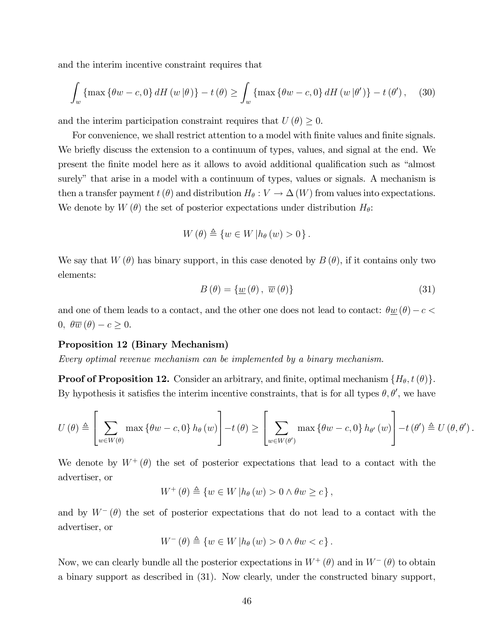and the interim incentive constraint requires that

$$
\int_{w} \{\max \{\theta w - c, 0\} \, dH(w|\theta)\} - t(\theta) \ge \int_{w} \{\max \{\theta w - c, 0\} \, dH(w|\theta')\} - t(\theta'), \quad (30)
$$

and the interim participation constraint requires that  $U(\theta) \geq 0$ .

For convenience, we shall restrict attention to a model with finite values and finite signals. We briefly discuss the extension to a continuum of types, values, and signal at the end. We present the finite model here as it allows to avoid additional qualification such as "almost surely" that arise in a model with a continuum of types, values or signals. A mechanism is then a transfer payment  $t(\theta)$  and distribution  $H_{\theta}: V \to \Delta(W)$  from values into expectations. We denote by  $W(\theta)$  the set of posterior expectations under distribution  $H_{\theta}$ :

$$
W(\theta) \triangleq \{ w \in W | h_{\theta}(w) > 0 \}.
$$

We say that  $W(\theta)$  has binary support, in this case denoted by  $B(\theta)$ , if it contains only two elements:

$$
B(\theta) = \{ \underline{w}(\theta), \overline{w}(\theta) \}
$$
 (31)

and one of them leads to a contact, and the other one does not lead to contact:  $\theta \underline{w}(\theta) - c$  $0, \ \theta \overline{w}(\theta) - c \geq 0.$ 

#### Proposition 12 (Binary Mechanism)

Every optimal revenue mechanism can be implemented by a binary mechanism.

**Proof of Proposition 12.** Consider an arbitrary, and finite, optimal mechanism  $\{H_{\theta}, t(\theta)\}.$ By hypothesis it satisfies the interim incentive constraints, that is for all types  $\theta$ ,  $\theta'$ , we have

$$
U(\theta) \triangleq \left[\sum_{w \in W(\theta)} \max \left\{\theta w - c, 0\right\} h_{\theta}(w)\right] - t(\theta) \geq \left[\sum_{w \in W(\theta')} \max \left\{\theta w - c, 0\right\} h_{\theta'}(w)\right] - t(\theta') \triangleq U(\theta, \theta').
$$

We denote by  $W^+(\theta)$  the set of posterior expectations that lead to a contact with the advertiser, or

$$
W^+(\theta) \triangleq \{ w \in W \, | h_{\theta}(w) > 0 \land \theta w \geq c \},
$$

and by  $W^{-}(\theta)$  the set of posterior expectations that do not lead to a contact with the advertiser, or

$$
W^{-}(\theta) \triangleq \{ w \in W \, | h_{\theta}(w) > 0 \wedge \theta w < c \}.
$$

Now, we can clearly bundle all the posterior expectations in  $W^+(\theta)$  and in  $W^-(\theta)$  to obtain a binary support as described in (31). Now clearly, under the constructed binary support,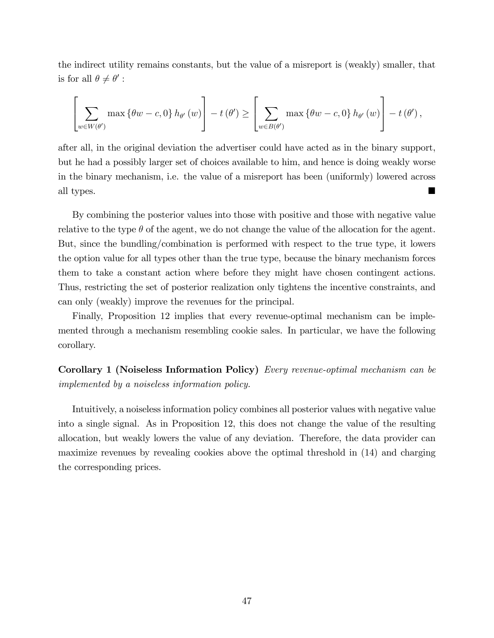the indirect utility remains constants, but the value of a misreport is (weakly) smaller, that is for all  $\theta \neq \theta'$ :

$$
\left[\sum_{w\in W(\theta')}\max\left\{\theta w-c,0\right\}h_{\theta'}\left(w\right)\right]-t\left(\theta'\right)\geq\left[\sum_{w\in B(\theta')}\max\left\{\theta w-c,0\right\}h_{\theta'}\left(w\right)\right]-t\left(\theta'\right),
$$

after all, in the original deviation the advertiser could have acted as in the binary support, but he had a possibly larger set of choices available to him, and hence is doing weakly worse in the binary mechanism, i.e. the value of a misreport has been (uniformly) lowered across all types.

By combining the posterior values into those with positive and those with negative value relative to the type  $\theta$  of the agent, we do not change the value of the allocation for the agent. But, since the bundling/combination is performed with respect to the true type, it lowers the option value for all types other than the true type, because the binary mechanism forces them to take a constant action where before they might have chosen contingent actions. Thus, restricting the set of posterior realization only tightens the incentive constraints, and can only (weakly) improve the revenues for the principal.

Finally, Proposition 12 implies that every revenue-optimal mechanism can be implemented through a mechanism resembling cookie sales. In particular, we have the following corollary.

Corollary 1 (Noiseless Information Policy) Every revenue-optimal mechanism can be implemented by a noiseless information policy.

Intuitively, a noiseless information policy combines all posterior values with negative value into a single signal. As in Proposition 12, this does not change the value of the resulting allocation, but weakly lowers the value of any deviation. Therefore, the data provider can maximize revenues by revealing cookies above the optimal threshold in (14) and charging the corresponding prices.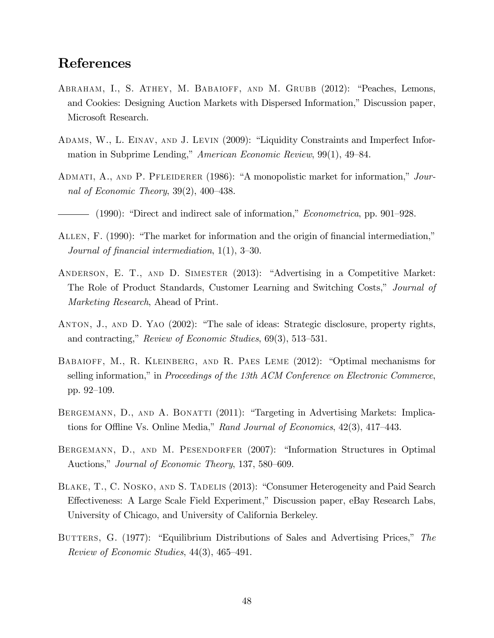## References

- ABRAHAM, I., S. ATHEY, M. BABAIOFF, AND M. GRUBB (2012): "Peaches, Lemons, and Cookies: Designing Auction Markets with Dispersed Information," Discussion paper, Microsoft Research.
- ADAMS, W., L. EINAV, AND J. LEVIN (2009): "Liquidity Constraints and Imperfect Information in Subprime Lending," American Economic Review,  $99(1)$ ,  $49-84$ .
- ADMATI, A., AND P. PFLEIDERER (1986): "A monopolistic market for information," Journal of Economic Theory,  $39(2)$ ,  $400-438$ .
- $-$  (1990): "Direct and indirect sale of information," *Econometrica*, pp. 901–928.
- ALLEN, F. (1990): "The market for information and the origin of financial intermediation," Journal of financial intermediation,  $1(1)$ ,  $3-30$ .
- ANDERSON, E. T., AND D. SIMESTER (2013): "Advertising in a Competitive Market: The Role of Product Standards, Customer Learning and Switching Costs," Journal of Marketing Research, Ahead of Print.
- ANTON, J., AND D. YAO (2002): "The sale of ideas: Strategic disclosure, property rights, and contracting," Review of Economic Studies,  $69(3)$ , 513–531.
- BABAIOFF, M., R. KLEINBERG, AND R. PAES LEME  $(2012)$ : "Optimal mechanisms for selling information," in Proceedings of the 13th ACM Conference on Electronic Commerce, pp. 92–109.
- BERGEMANN, D., AND A. BONATTI (2011): "Targeting in Advertising Markets: Implications for Offline Vs. Online Media," Rand Journal of Economics,  $42(3)$ ,  $417-443$ .
- BERGEMANN, D., AND M. PESENDORFER (2007): "Information Structures in Optimal Auctions," Journal of Economic Theory, 137, 580–609.
- BLAKE, T., C. NOSKO, AND S. TADELIS (2013): "Consumer Heterogeneity and Paid Search Effectiveness: A Large Scale Field Experiment," Discussion paper, eBay Research Labs, University of Chicago, and University of California Berkeley.
- BUTTERS, G. (1977): "Equilibrium Distributions of Sales and Advertising Prices," The Review of Economic Studies,  $44(3)$ ,  $465-491$ .